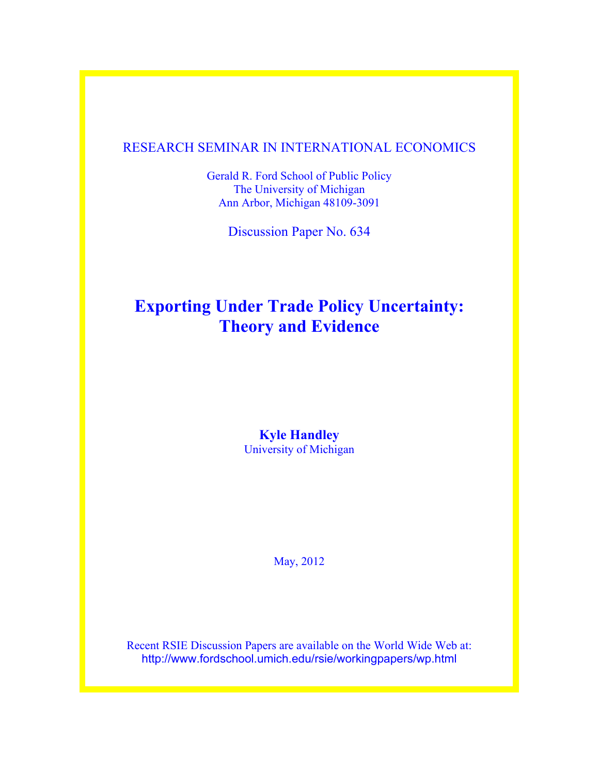# RESEARCH SEMINAR IN INTERNATIONAL ECONOMICS

Gerald R. Ford School of Public Policy The University of Michigan Ann Arbor, Michigan 48109-3091

Discussion Paper No. 634

# **Exporting Under Trade Policy Uncertainty: Theory and Evidence**

# **Kyle Handley**

University of Michigan

May, 2012

Recent RSIE Discussion Papers are available on the World Wide Web at: http://www.fordschool.umich.edu/rsie/workingpapers/wp.html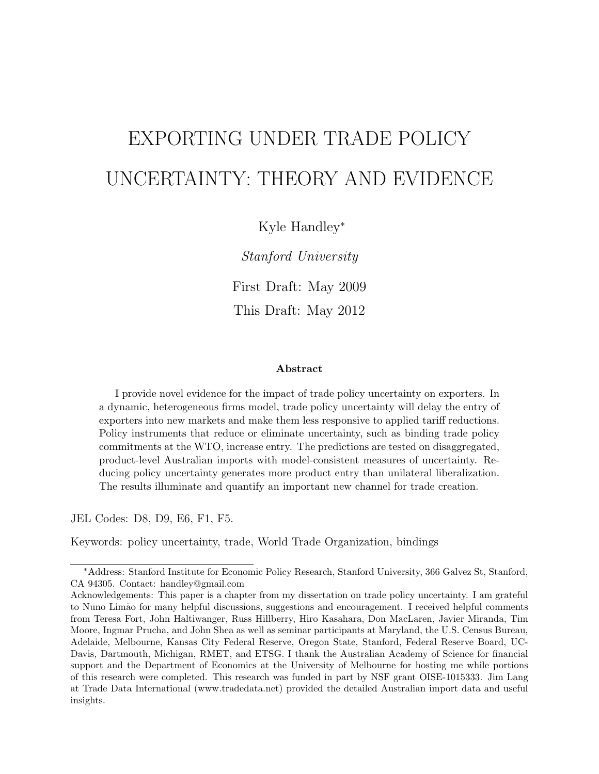# EXPORTING UNDER TRADE POLICY UNCERTAINTY: THEORY AND EVIDENCE

Kyle Handley<sup>∗</sup>

Stanford University

First Draft: May 2009 This Draft: May 2012

#### Abstract

I provide novel evidence for the impact of trade policy uncertainty on exporters. In a dynamic, heterogeneous firms model, trade policy uncertainty will delay the entry of exporters into new markets and make them less responsive to applied tariff reductions. Policy instruments that reduce or eliminate uncertainty, such as binding trade policy commitments at the WTO, increase entry. The predictions are tested on disaggregated, product-level Australian imports with model-consistent measures of uncertainty. Reducing policy uncertainty generates more product entry than unilateral liberalization. The results illuminate and quantify an important new channel for trade creation.

JEL Codes: D8, D9, E6, F1, F5.

Keywords: policy uncertainty, trade, World Trade Organization, bindings

<sup>∗</sup>Address: Stanford Institute for Economic Policy Research, Stanford University, 366 Galvez St, Stanford, CA 94305. Contact: handley@gmail.com

Acknowledgements: This paper is a chapter from my dissertation on trade policy uncertainty. I am grateful to Nuno Limão for many helpful discussions, suggestions and encouragement. I received helpful comments from Teresa Fort, John Haltiwanger, Russ Hillberry, Hiro Kasahara, Don MacLaren, Javier Miranda, Tim Moore, Ingmar Prucha, and John Shea as well as seminar participants at Maryland, the U.S. Census Bureau, Adelaide, Melbourne, Kansas City Federal Reserve, Oregon State, Stanford, Federal Reserve Board, UC-Davis, Dartmouth, Michigan, RMET, and ETSG. I thank the Australian Academy of Science for financial support and the Department of Economics at the University of Melbourne for hosting me while portions of this research were completed. This research was funded in part by NSF grant OISE-1015333. Jim Lang at Trade Data International (www.tradedata.net) provided the detailed Australian import data and useful insights.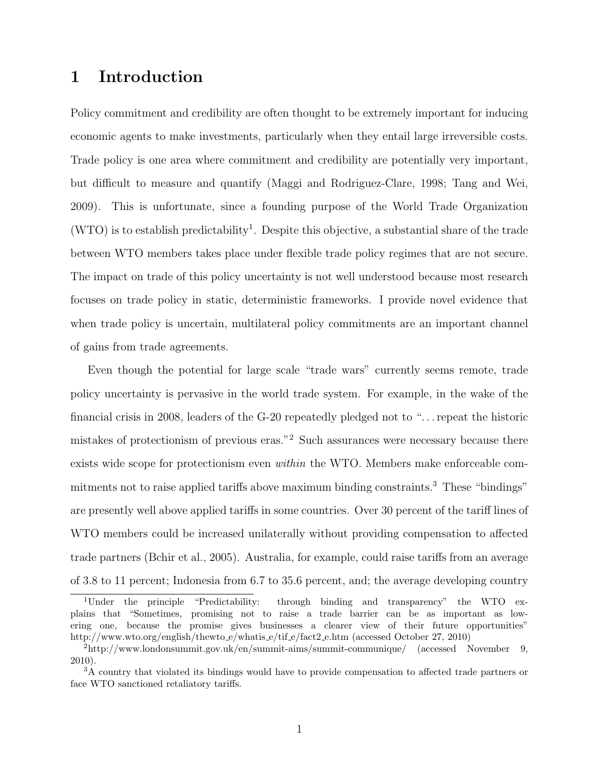# 1 Introduction

Policy commitment and credibility are often thought to be extremely important for inducing economic agents to make investments, particularly when they entail large irreversible costs. Trade policy is one area where commitment and credibility are potentially very important, but difficult to measure and quantify (Maggi and Rodriguez-Clare, 1998; Tang and Wei, 2009). This is unfortunate, since a founding purpose of the World Trade Organization  $(WTO)$  is to establish predictability<sup>1</sup>. Despite this objective, a substantial share of the trade between WTO members takes place under flexible trade policy regimes that are not secure. The impact on trade of this policy uncertainty is not well understood because most research focuses on trade policy in static, deterministic frameworks. I provide novel evidence that when trade policy is uncertain, multilateral policy commitments are an important channel of gains from trade agreements.

Even though the potential for large scale "trade wars" currently seems remote, trade policy uncertainty is pervasive in the world trade system. For example, in the wake of the financial crisis in 2008, leaders of the G-20 repeatedly pledged not to ". . . repeat the historic mistakes of protectionism of previous eras."<sup>2</sup> Such assurances were necessary because there exists wide scope for protectionism even within the WTO. Members make enforceable commitments not to raise applied tariffs above maximum binding constraints.<sup>3</sup> These "bindings" are presently well above applied tariffs in some countries. Over 30 percent of the tariff lines of WTO members could be increased unilaterally without providing compensation to affected trade partners (Bchir et al., 2005). Australia, for example, could raise tariffs from an average of 3.8 to 11 percent; Indonesia from 6.7 to 35.6 percent, and; the average developing country

<sup>1</sup>Under the principle "Predictability: through binding and transparency" the WTO explains that "Sometimes, promising not to raise a trade barrier can be as important as lowering one, because the promise gives businesses a clearer view of their future opportunities" http://www.wto.org/english/thewto e/whatis e/tif e/fact2 e.htm (accessed October 27, 2010)

<sup>2</sup>http://www.londonsummit.gov.uk/en/summit-aims/summit-communique/ (accessed November 9, 2010).

<sup>&</sup>lt;sup>3</sup>A country that violated its bindings would have to provide compensation to affected trade partners or face WTO sanctioned retaliatory tariffs.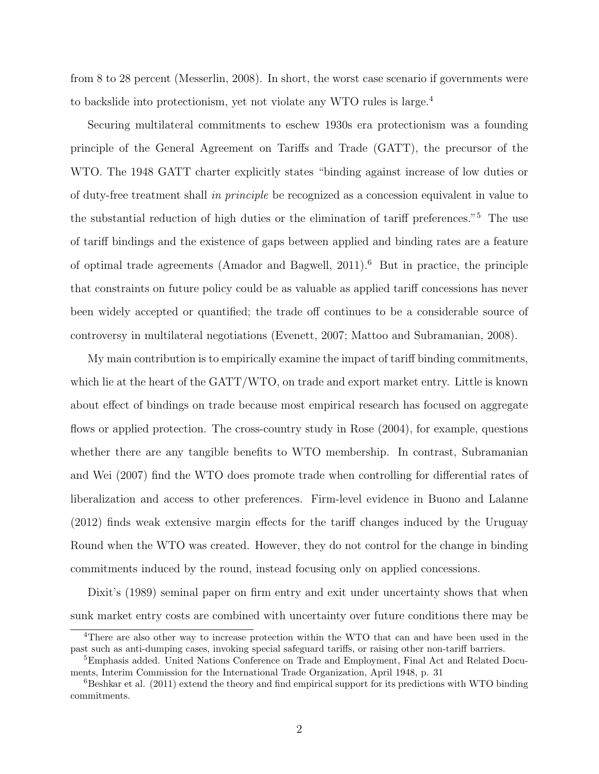from 8 to 28 percent (Messerlin, 2008). In short, the worst case scenario if governments were to backslide into protectionism, yet not violate any WTO rules is large.<sup>4</sup>

Securing multilateral commitments to eschew 1930s era protectionism was a founding principle of the General Agreement on Tariffs and Trade (GATT), the precursor of the WTO. The 1948 GATT charter explicitly states "binding against increase of low duties or of duty-free treatment shall in principle be recognized as a concession equivalent in value to the substantial reduction of high duties or the elimination of tariff preferences."<sup>5</sup> The use of tariff bindings and the existence of gaps between applied and binding rates are a feature of optimal trade agreements (Amador and Bagwell,  $2011$ ).<sup>6</sup> But in practice, the principle that constraints on future policy could be as valuable as applied tariff concessions has never been widely accepted or quantified; the trade off continues to be a considerable source of controversy in multilateral negotiations (Evenett, 2007; Mattoo and Subramanian, 2008).

My main contribution is to empirically examine the impact of tariff binding commitments, which lie at the heart of the GATT/WTO, on trade and export market entry. Little is known about effect of bindings on trade because most empirical research has focused on aggregate flows or applied protection. The cross-country study in Rose (2004), for example, questions whether there are any tangible benefits to WTO membership. In contrast, Subramanian and Wei (2007) find the WTO does promote trade when controlling for differential rates of liberalization and access to other preferences. Firm-level evidence in Buono and Lalanne (2012) finds weak extensive margin effects for the tariff changes induced by the Uruguay Round when the WTO was created. However, they do not control for the change in binding commitments induced by the round, instead focusing only on applied concessions.

Dixit's (1989) seminal paper on firm entry and exit under uncertainty shows that when sunk market entry costs are combined with uncertainty over future conditions there may be

<sup>4</sup>There are also other way to increase protection within the WTO that can and have been used in the past such as anti-dumping cases, invoking special safeguard tariffs, or raising other non-tariff barriers.

<sup>5</sup>Emphasis added. United Nations Conference on Trade and Employment, Final Act and Related Documents, Interim Commission for the International Trade Organization, April 1948, p. 31

 $6$ Beshkar et al. (2011) extend the theory and find empirical support for its predictions with WTO binding commitments.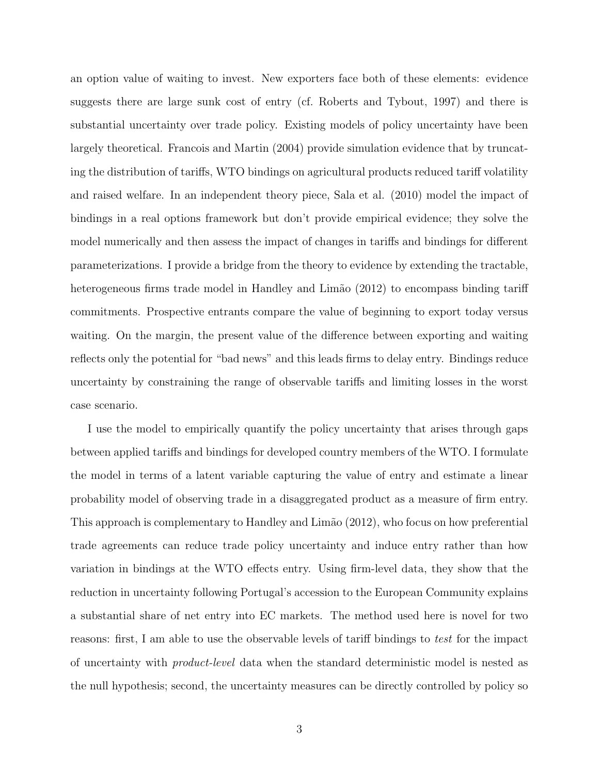an option value of waiting to invest. New exporters face both of these elements: evidence suggests there are large sunk cost of entry (cf. Roberts and Tybout, 1997) and there is substantial uncertainty over trade policy. Existing models of policy uncertainty have been largely theoretical. Francois and Martin (2004) provide simulation evidence that by truncating the distribution of tariffs, WTO bindings on agricultural products reduced tariff volatility and raised welfare. In an independent theory piece, Sala et al. (2010) model the impact of bindings in a real options framework but don't provide empirical evidence; they solve the model numerically and then assess the impact of changes in tariffs and bindings for different parameterizations. I provide a bridge from the theory to evidence by extending the tractable, heterogeneous firms trade model in Handley and Limão (2012) to encompass binding tariff commitments. Prospective entrants compare the value of beginning to export today versus waiting. On the margin, the present value of the difference between exporting and waiting reflects only the potential for "bad news" and this leads firms to delay entry. Bindings reduce uncertainty by constraining the range of observable tariffs and limiting losses in the worst case scenario.

I use the model to empirically quantify the policy uncertainty that arises through gaps between applied tariffs and bindings for developed country members of the WTO. I formulate the model in terms of a latent variable capturing the value of entry and estimate a linear probability model of observing trade in a disaggregated product as a measure of firm entry. This approach is complementary to Handley and Limão (2012), who focus on how preferential trade agreements can reduce trade policy uncertainty and induce entry rather than how variation in bindings at the WTO effects entry. Using firm-level data, they show that the reduction in uncertainty following Portugal's accession to the European Community explains a substantial share of net entry into EC markets. The method used here is novel for two reasons: first, I am able to use the observable levels of tariff bindings to test for the impact of uncertainty with product-level data when the standard deterministic model is nested as the null hypothesis; second, the uncertainty measures can be directly controlled by policy so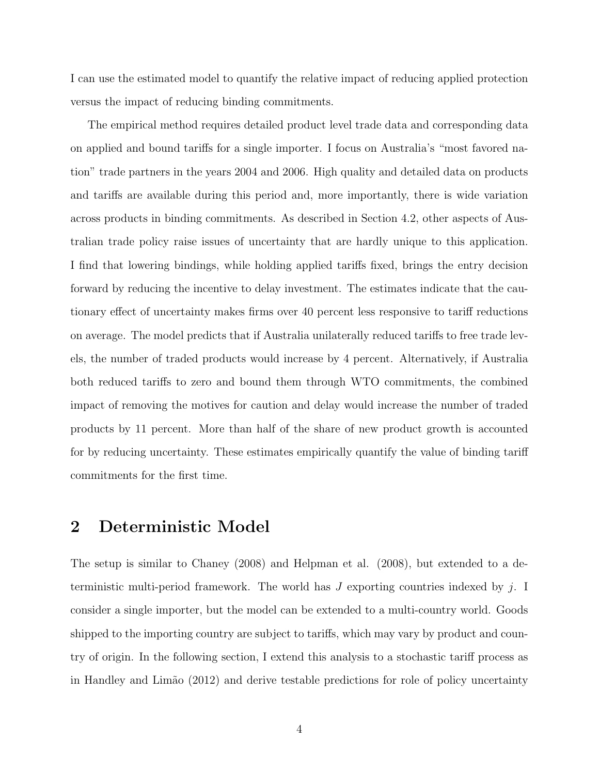I can use the estimated model to quantify the relative impact of reducing applied protection versus the impact of reducing binding commitments.

The empirical method requires detailed product level trade data and corresponding data on applied and bound tariffs for a single importer. I focus on Australia's "most favored nation" trade partners in the years 2004 and 2006. High quality and detailed data on products and tariffs are available during this period and, more importantly, there is wide variation across products in binding commitments. As described in Section 4.2, other aspects of Australian trade policy raise issues of uncertainty that are hardly unique to this application. I find that lowering bindings, while holding applied tariffs fixed, brings the entry decision forward by reducing the incentive to delay investment. The estimates indicate that the cautionary effect of uncertainty makes firms over 40 percent less responsive to tariff reductions on average. The model predicts that if Australia unilaterally reduced tariffs to free trade levels, the number of traded products would increase by 4 percent. Alternatively, if Australia both reduced tariffs to zero and bound them through WTO commitments, the combined impact of removing the motives for caution and delay would increase the number of traded products by 11 percent. More than half of the share of new product growth is accounted for by reducing uncertainty. These estimates empirically quantify the value of binding tariff commitments for the first time.

# 2 Deterministic Model

The setup is similar to Chaney (2008) and Helpman et al. (2008), but extended to a deterministic multi-period framework. The world has  $J$  exporting countries indexed by  $j$ . I consider a single importer, but the model can be extended to a multi-country world. Goods shipped to the importing country are subject to tariffs, which may vary by product and country of origin. In the following section, I extend this analysis to a stochastic tariff process as in Handley and Lim˜ao (2012) and derive testable predictions for role of policy uncertainty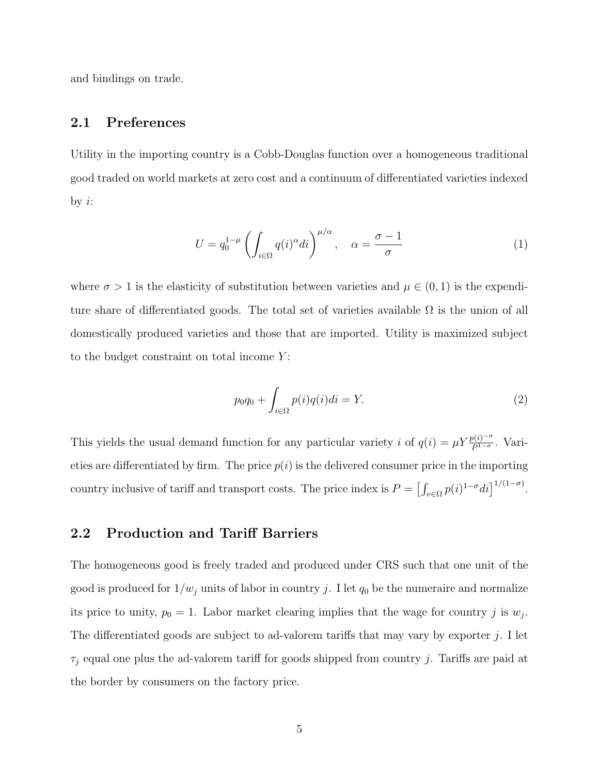and bindings on trade.

#### 2.1 Preferences

Utility in the importing country is a Cobb-Douglas function over a homogeneous traditional good traded on world markets at zero cost and a continuum of differentiated varieties indexed by  $i$ :

$$
U = q_0^{1-\mu} \left( \int_{i \in \Omega} q(i)^{\alpha} di \right)^{\mu/\alpha}, \quad \alpha = \frac{\sigma - 1}{\sigma}
$$
 (1)

where  $\sigma > 1$  is the elasticity of substitution between varieties and  $\mu \in (0,1)$  is the expenditure share of differentiated goods. The total set of varieties available  $\Omega$  is the union of all domestically produced varieties and those that are imported. Utility is maximized subject to the budget constraint on total income  $Y$ :

$$
p_0 q_0 + \int_{i \in \Omega} p(i)q(i)di = Y.
$$
 (2)

This yields the usual demand function for any particular variety i of  $q(i) = \mu Y \frac{p(i)^{-\sigma}}{P^{1-\sigma}}$ . Varieties are differentiated by firm. The price  $p(i)$  is the delivered consumer price in the importing country inclusive of tariff and transport costs. The price index is  $P = \left[\int_{v \in \Omega} p(i)^{1-\sigma} di\right]^{1/(1-\sigma)}$ .

# 2.2 Production and Tariff Barriers

The homogeneous good is freely traded and produced under CRS such that one unit of the good is produced for  $1/w_j$  units of labor in country j. I let  $q_0$  be the numeraire and normalize its price to unity,  $p_0 = 1$ . Labor market clearing implies that the wage for country j is  $w_j$ . The differentiated goods are subject to ad-valorem tariffs that may vary by exporter j. I let  $\tau_j$  equal one plus the ad-valorem tariff for goods shipped from country j. Tariffs are paid at the border by consumers on the factory price.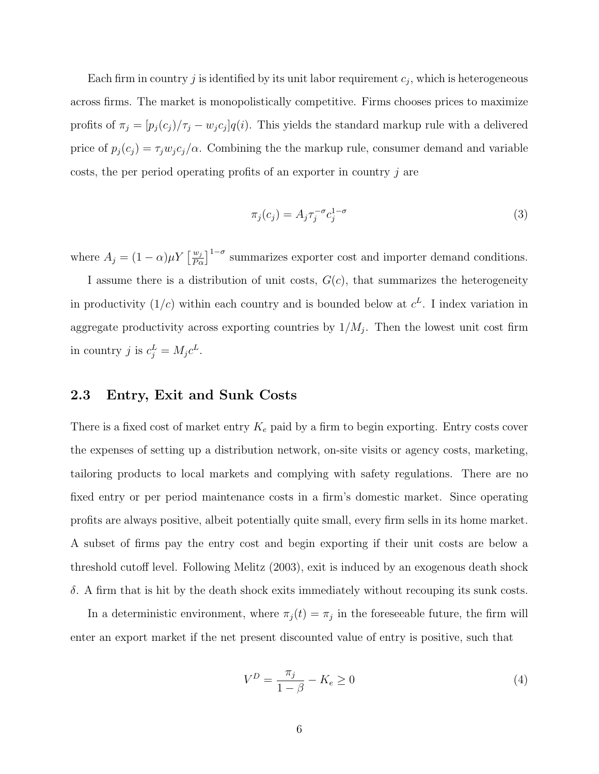Each firm in country  $j$  is identified by its unit labor requirement  $c_j$ , which is heterogeneous across firms. The market is monopolistically competitive. Firms chooses prices to maximize profits of  $\pi_j = [p_j(c_j)/\tau_j - w_j c_j]q(i)$ . This yields the standard markup rule with a delivered price of  $p_j(c_j) = \tau_j w_j c_j/\alpha$ . Combining the the markup rule, consumer demand and variable costs, the per period operating profits of an exporter in country  $\dot{\eta}$  are

$$
\pi_j(c_j) = A_j \tau_j^{-\sigma} c_j^{1-\sigma} \tag{3}
$$

where  $A_j = (1 - \alpha)\mu Y \left[\frac{w_j}{P\alpha}\right]^{1-\sigma}$  summarizes exporter cost and importer demand conditions.

I assume there is a distribution of unit costs,  $G(c)$ , that summarizes the heterogeneity in productivity  $(1/c)$  within each country and is bounded below at  $c<sup>L</sup>$ . I index variation in aggregate productivity across exporting countries by  $1/M_j$ . Then the lowest unit cost firm in country j is  $c_j^L = M_j c^L$ .

#### 2.3 Entry, Exit and Sunk Costs

There is a fixed cost of market entry  $K_e$  paid by a firm to begin exporting. Entry costs cover the expenses of setting up a distribution network, on-site visits or agency costs, marketing, tailoring products to local markets and complying with safety regulations. There are no fixed entry or per period maintenance costs in a firm's domestic market. Since operating profits are always positive, albeit potentially quite small, every firm sells in its home market. A subset of firms pay the entry cost and begin exporting if their unit costs are below a threshold cutoff level. Following Melitz (2003), exit is induced by an exogenous death shock δ. A firm that is hit by the death shock exits immediately without recouping its sunk costs.

In a deterministic environment, where  $\pi_j(t) = \pi_j$  in the foreseeable future, the firm will enter an export market if the net present discounted value of entry is positive, such that

$$
V^D = \frac{\pi_j}{1 - \beta} - K_e \ge 0
$$
\n<sup>(4)</sup>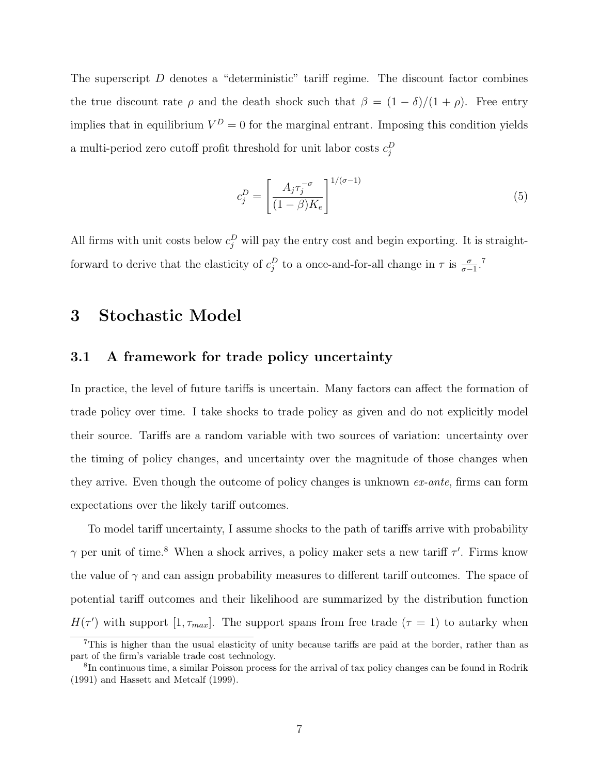The superscript D denotes a "deterministic" tariff regime. The discount factor combines the true discount rate  $\rho$  and the death shock such that  $\beta = (1 - \delta)/(1 + \rho)$ . Free entry implies that in equilibrium  $V^D = 0$  for the marginal entrant. Imposing this condition yields a multi-period zero cutoff profit threshold for unit labor costs  $c_j^D$ 

$$
c_j^D = \left[\frac{A_j \tau_j^{-\sigma}}{(1-\beta)K_e}\right]^{1/(\sigma-1)}
$$
\n(5)

All firms with unit costs below  $c_j^D$  will pay the entry cost and begin exporting. It is straightforward to derive that the elasticity of  $c_j^D$  to a once-and-for-all change in  $\tau$  is  $\frac{\sigma}{\sigma-1}$ .<sup>7</sup>

# 3 Stochastic Model

## 3.1 A framework for trade policy uncertainty

In practice, the level of future tariffs is uncertain. Many factors can affect the formation of trade policy over time. I take shocks to trade policy as given and do not explicitly model their source. Tariffs are a random variable with two sources of variation: uncertainty over the timing of policy changes, and uncertainty over the magnitude of those changes when they arrive. Even though the outcome of policy changes is unknown ex-ante, firms can form expectations over the likely tariff outcomes.

To model tariff uncertainty, I assume shocks to the path of tariffs arrive with probability  $\gamma$  per unit of time.<sup>8</sup> When a shock arrives, a policy maker sets a new tariff  $\tau'$ . Firms know the value of  $\gamma$  and can assign probability measures to different tariff outcomes. The space of potential tariff outcomes and their likelihood are summarized by the distribution function  $H(\tau')$  with support  $[1, \tau_{max}]$ . The support spans from free trade  $(\tau = 1)$  to autarky when

<sup>7</sup>This is higher than the usual elasticity of unity because tariffs are paid at the border, rather than as part of the firm's variable trade cost technology.

<sup>&</sup>lt;sup>8</sup>In continuous time, a similar Poisson process for the arrival of tax policy changes can be found in Rodrik (1991) and Hassett and Metcalf (1999).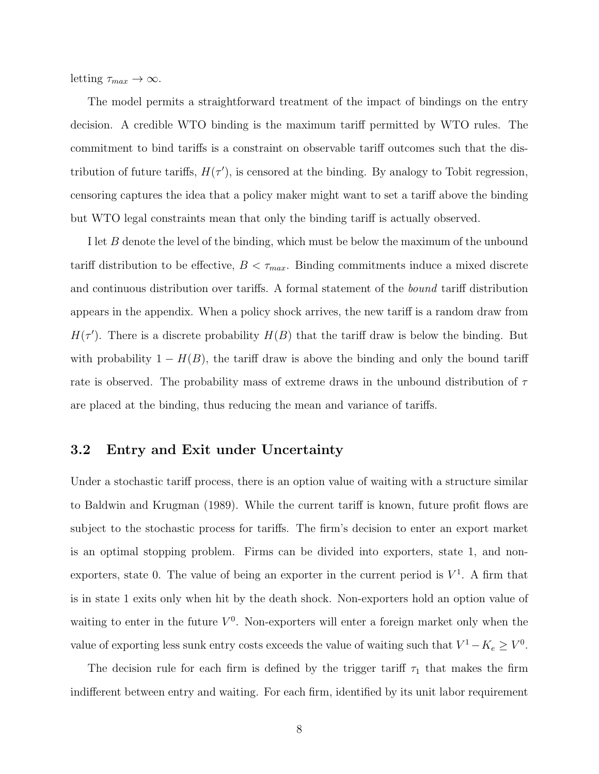letting  $\tau_{max} \to \infty$ .

The model permits a straightforward treatment of the impact of bindings on the entry decision. A credible WTO binding is the maximum tariff permitted by WTO rules. The commitment to bind tariffs is a constraint on observable tariff outcomes such that the distribution of future tariffs,  $H(\tau')$ , is censored at the binding. By analogy to Tobit regression, censoring captures the idea that a policy maker might want to set a tariff above the binding but WTO legal constraints mean that only the binding tariff is actually observed.

I let B denote the level of the binding, which must be below the maximum of the unbound tariff distribution to be effective,  $B < \tau_{max}$ . Binding commitments induce a mixed discrete and continuous distribution over tariffs. A formal statement of the bound tariff distribution appears in the appendix. When a policy shock arrives, the new tariff is a random draw from  $H(\tau')$ . There is a discrete probability  $H(B)$  that the tariff draw is below the binding. But with probability  $1 - H(B)$ , the tariff draw is above the binding and only the bound tariff rate is observed. The probability mass of extreme draws in the unbound distribution of  $\tau$ are placed at the binding, thus reducing the mean and variance of tariffs.

#### 3.2 Entry and Exit under Uncertainty

Under a stochastic tariff process, there is an option value of waiting with a structure similar to Baldwin and Krugman (1989). While the current tariff is known, future profit flows are subject to the stochastic process for tariffs. The firm's decision to enter an export market is an optimal stopping problem. Firms can be divided into exporters, state 1, and nonexporters, state 0. The value of being an exporter in the current period is  $V^1$ . A firm that is in state 1 exits only when hit by the death shock. Non-exporters hold an option value of waiting to enter in the future  $V^0$ . Non-exporters will enter a foreign market only when the value of exporting less sunk entry costs exceeds the value of waiting such that  $V^1 - K_e \geq V^0$ .

The decision rule for each firm is defined by the trigger tariff  $\tau_1$  that makes the firm indifferent between entry and waiting. For each firm, identified by its unit labor requirement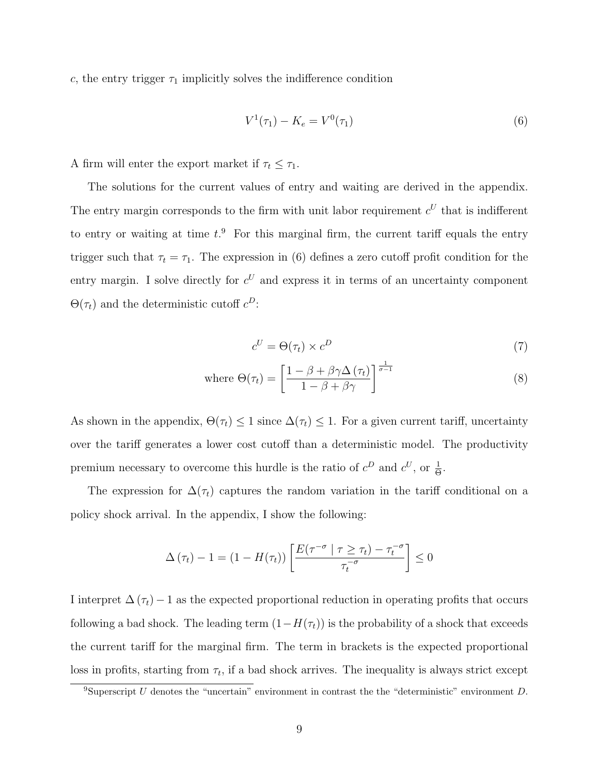c, the entry trigger  $\tau_1$  implicitly solves the indifference condition

$$
V^1(\tau_1) - K_e = V^0(\tau_1)
$$
\n(6)

A firm will enter the export market if  $\tau_t \leq \tau_1$ .

The solutions for the current values of entry and waiting are derived in the appendix. The entry margin corresponds to the firm with unit labor requirement  $c^U$  that is indifferent to entry or waiting at time  $t$ <sup>9</sup>. For this marginal firm, the current tariff equals the entry trigger such that  $\tau_t = \tau_1$ . The expression in (6) defines a zero cutoff profit condition for the entry margin. I solve directly for  $c^U$  and express it in terms of an uncertainty component  $\Theta(\tau_t)$  and the deterministic cutoff  $c^D$ :

$$
c^U = \Theta(\tau_t) \times c^D \tag{7}
$$

where 
$$
\Theta(\tau_t) = \left[\frac{1 - \beta + \beta \gamma \Delta(\tau_t)}{1 - \beta + \beta \gamma}\right]^{\frac{1}{\sigma - 1}}
$$
 (8)

As shown in the appendix,  $\Theta(\tau_t) \leq 1$  since  $\Delta(\tau_t) \leq 1$ . For a given current tariff, uncertainty over the tariff generates a lower cost cutoff than a deterministic model. The productivity premium necessary to overcome this hurdle is the ratio of  $c^D$  and  $c^U$ , or  $\frac{1}{\Theta}$ .

The expression for  $\Delta(\tau_t)$  captures the random variation in the tariff conditional on a policy shock arrival. In the appendix, I show the following:

$$
\Delta(\tau_t) - 1 = (1 - H(\tau_t)) \left[ \frac{E(\tau^{-\sigma} | \tau \ge \tau_t) - \tau_t^{-\sigma}}{\tau_t^{-\sigma}} \right] \le 0
$$

I interpret  $\Delta(\tau_t) - 1$  as the expected proportional reduction in operating profits that occurs following a bad shock. The leading term  $(1-H(\tau_t))$  is the probability of a shock that exceeds the current tariff for the marginal firm. The term in brackets is the expected proportional loss in profits, starting from  $\tau_t$ , if a bad shock arrives. The inequality is always strict except

<sup>&</sup>lt;sup>9</sup>Superscript U denotes the "uncertain" environment in contrast the the "deterministic" environment D.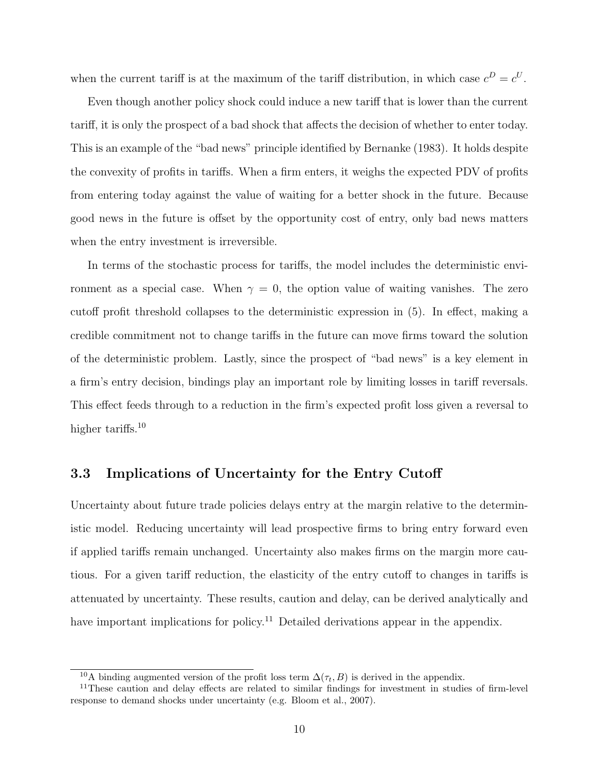when the current tariff is at the maximum of the tariff distribution, in which case  $c^D = c^U$ .

Even though another policy shock could induce a new tariff that is lower than the current tariff, it is only the prospect of a bad shock that affects the decision of whether to enter today. This is an example of the "bad news" principle identified by Bernanke (1983). It holds despite the convexity of profits in tariffs. When a firm enters, it weighs the expected PDV of profits from entering today against the value of waiting for a better shock in the future. Because good news in the future is offset by the opportunity cost of entry, only bad news matters when the entry investment is irreversible.

In terms of the stochastic process for tariffs, the model includes the deterministic environment as a special case. When  $\gamma = 0$ , the option value of waiting vanishes. The zero cutoff profit threshold collapses to the deterministic expression in (5). In effect, making a credible commitment not to change tariffs in the future can move firms toward the solution of the deterministic problem. Lastly, since the prospect of "bad news" is a key element in a firm's entry decision, bindings play an important role by limiting losses in tariff reversals. This effect feeds through to a reduction in the firm's expected profit loss given a reversal to higher tariffs.<sup>10</sup>

#### 3.3 Implications of Uncertainty for the Entry Cutoff

Uncertainty about future trade policies delays entry at the margin relative to the deterministic model. Reducing uncertainty will lead prospective firms to bring entry forward even if applied tariffs remain unchanged. Uncertainty also makes firms on the margin more cautious. For a given tariff reduction, the elasticity of the entry cutoff to changes in tariffs is attenuated by uncertainty. These results, caution and delay, can be derived analytically and have important implications for policy.<sup>11</sup> Detailed derivations appear in the appendix.

<sup>&</sup>lt;sup>10</sup>A binding augmented version of the profit loss term  $\Delta(\tau_t, B)$  is derived in the appendix.

<sup>&</sup>lt;sup>11</sup>These caution and delay effects are related to similar findings for investment in studies of firm-level response to demand shocks under uncertainty (e.g. Bloom et al., 2007).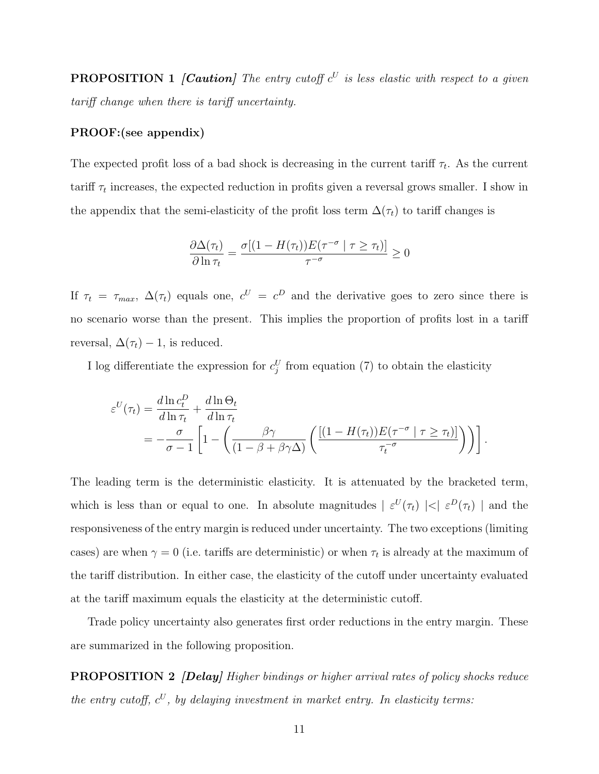**PROPOSITION 1** [Caution] The entry cutoff  $c^U$  is less elastic with respect to a given tariff change when there is tariff uncertainty.

#### PROOF:(see appendix)

The expected profit loss of a bad shock is decreasing in the current tariff  $\tau_t$ . As the current tariff  $\tau_t$  increases, the expected reduction in profits given a reversal grows smaller. I show in the appendix that the semi-elasticity of the profit loss term  $\Delta(\tau_t)$  to tariff changes is

$$
\frac{\partial \Delta(\tau_t)}{\partial \ln \tau_t} = \frac{\sigma[(1 - H(\tau_t))E(\tau^{-\sigma} | \tau \ge \tau_t)]}{\tau^{-\sigma}} \ge 0
$$

If  $\tau_t = \tau_{max}$ ,  $\Delta(\tau_t)$  equals one,  $c^U = c^D$  and the derivative goes to zero since there is no scenario worse than the present. This implies the proportion of profits lost in a tariff reversal,  $\Delta(\tau_t) - 1$ , is reduced.

I log differentiate the expression for  $c_j^U$  from equation (7) to obtain the elasticity

$$
\varepsilon^{U}(\tau_{t}) = \frac{d \ln c_{t}^{D}}{d \ln \tau_{t}} + \frac{d \ln \Theta_{t}}{d \ln \tau_{t}}
$$
  
= 
$$
-\frac{\sigma}{\sigma - 1} \left[ 1 - \left( \frac{\beta \gamma}{(1 - \beta + \beta \gamma \Delta)} \left( \frac{[(1 - H(\tau_{t})) E(\tau^{-\sigma} | \tau \ge \tau_{t})]}{\tau_{t}^{-\sigma}} \right) \right) \right].
$$

The leading term is the deterministic elasticity. It is attenuated by the bracketed term, which is less than or equal to one. In absolute magnitudes  $| \varepsilon^{U}(\tau_t) | < | \varepsilon^{D}(\tau_t) |$  and the responsiveness of the entry margin is reduced under uncertainty. The two exceptions (limiting cases) are when  $\gamma = 0$  (i.e. tariffs are deterministic) or when  $\tau_t$  is already at the maximum of the tariff distribution. In either case, the elasticity of the cutoff under uncertainty evaluated at the tariff maximum equals the elasticity at the deterministic cutoff.

Trade policy uncertainty also generates first order reductions in the entry margin. These are summarized in the following proposition.

PROPOSITION 2 *[Delay] Higher bindings or higher arrival rates of policy shocks reduce* the entry cutoff,  $c^U$ , by delaying investment in market entry. In elasticity terms: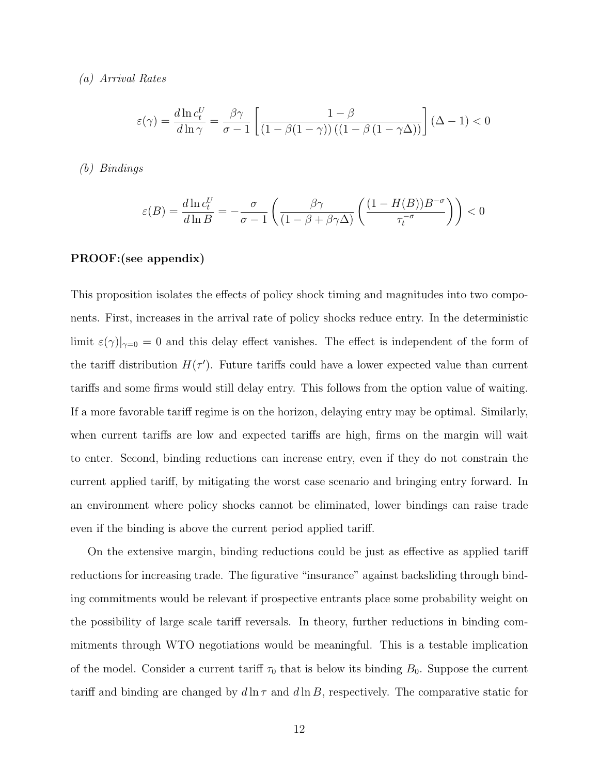(a) Arrival Rates

$$
\varepsilon(\gamma) = \frac{d \ln c_t^U}{d \ln \gamma} = \frac{\beta \gamma}{\sigma - 1} \left[ \frac{1 - \beta}{\left(1 - \beta(1 - \gamma)\right) \left(\left(1 - \beta\left(1 - \gamma\Delta\right)\right)\right)} \right] (\Delta - 1) < 0
$$

(b) Bindings

$$
\varepsilon(B)=\frac{d\ln c_t^U}{d\ln B}=-\frac{\sigma}{\sigma-1}\left(\frac{\beta\gamma}{(1-\beta+\beta\gamma\Delta)}\left(\frac{(1-H(B))B^{-\sigma}}{\tau_t^{-\sigma}}\right)\right)<0
$$

#### PROOF:(see appendix)

This proposition isolates the effects of policy shock timing and magnitudes into two components. First, increases in the arrival rate of policy shocks reduce entry. In the deterministic limit  $\varepsilon(\gamma)|_{\gamma=0} = 0$  and this delay effect vanishes. The effect is independent of the form of the tariff distribution  $H(\tau')$ . Future tariffs could have a lower expected value than current tariffs and some firms would still delay entry. This follows from the option value of waiting. If a more favorable tariff regime is on the horizon, delaying entry may be optimal. Similarly, when current tariffs are low and expected tariffs are high, firms on the margin will wait to enter. Second, binding reductions can increase entry, even if they do not constrain the current applied tariff, by mitigating the worst case scenario and bringing entry forward. In an environment where policy shocks cannot be eliminated, lower bindings can raise trade even if the binding is above the current period applied tariff.

On the extensive margin, binding reductions could be just as effective as applied tariff reductions for increasing trade. The figurative "insurance" against backsliding through binding commitments would be relevant if prospective entrants place some probability weight on the possibility of large scale tariff reversals. In theory, further reductions in binding commitments through WTO negotiations would be meaningful. This is a testable implication of the model. Consider a current tariff  $\tau_0$  that is below its binding  $B_0$ . Suppose the current tariff and binding are changed by  $d \ln \tau$  and  $d \ln B$ , respectively. The comparative static for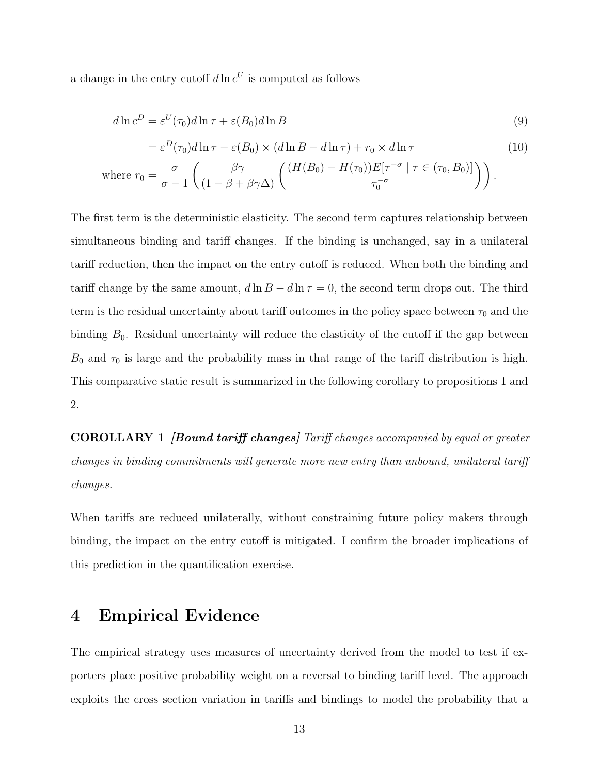a change in the entry cutoff  $d \ln c^U$  is computed as follows

$$
d\ln c^D = \varepsilon^U(\tau_0) d\ln \tau + \varepsilon(B_0) d\ln B \tag{9}
$$

$$
= \varepsilon^{D}(\tau_{0})d\ln\tau - \varepsilon(B_{0}) \times (d\ln B - d\ln\tau) + r_{0} \times d\ln\tau
$$
\n(10)

where 
$$
r_0 = \frac{\sigma}{\sigma - 1} \left( \frac{\beta \gamma}{(1 - \beta + \beta \gamma \Delta)} \left( \frac{(H(B_0) - H(\tau_0)) E[\tau^{-\sigma} | \tau \in (\tau_0, B_0)]}{\tau_0^{-\sigma}} \right) \right)
$$
.

The first term is the deterministic elasticity. The second term captures relationship between simultaneous binding and tariff changes. If the binding is unchanged, say in a unilateral tariff reduction, then the impact on the entry cutoff is reduced. When both the binding and tariff change by the same amount,  $d \ln B - d \ln \tau = 0$ , the second term drops out. The third term is the residual uncertainty about tariff outcomes in the policy space between  $\tau_0$  and the binding  $B_0$ . Residual uncertainty will reduce the elasticity of the cutoff if the gap between  $B_0$  and  $\tau_0$  is large and the probability mass in that range of the tariff distribution is high. This comparative static result is summarized in the following corollary to propositions 1 and 2.

COROLLARY 1 [Bound tariff changes] Tariff changes accompanied by equal or greater changes in binding commitments will generate more new entry than unbound, unilateral tariff changes.

When tariffs are reduced unilaterally, without constraining future policy makers through binding, the impact on the entry cutoff is mitigated. I confirm the broader implications of this prediction in the quantification exercise.

# 4 Empirical Evidence

The empirical strategy uses measures of uncertainty derived from the model to test if exporters place positive probability weight on a reversal to binding tariff level. The approach exploits the cross section variation in tariffs and bindings to model the probability that a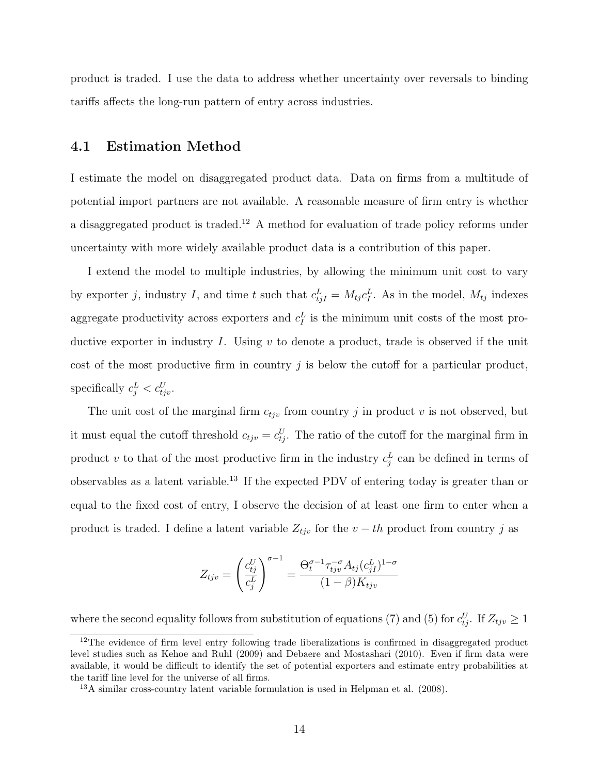product is traded. I use the data to address whether uncertainty over reversals to binding tariffs affects the long-run pattern of entry across industries.

## 4.1 Estimation Method

I estimate the model on disaggregated product data. Data on firms from a multitude of potential import partners are not available. A reasonable measure of firm entry is whether a disaggregated product is traded.<sup>12</sup> A method for evaluation of trade policy reforms under uncertainty with more widely available product data is a contribution of this paper.

I extend the model to multiple industries, by allowing the minimum unit cost to vary by exporter j, industry I, and time t such that  $c_{tjI}^L = M_{tj}c_I^L$ . As in the model,  $M_{tj}$  indexes aggregate productivity across exporters and  $c_I^L$  is the minimum unit costs of the most productive exporter in industry  $I$ . Using  $v$  to denote a product, trade is observed if the unit cost of the most productive firm in country  $j$  is below the cutoff for a particular product, specifically  $c_j^L < c_{tjv}^U$ .

The unit cost of the marginal firm  $c_{tjv}$  from country j in product v is not observed, but it must equal the cutoff threshold  $c_{tjv} = c_{tj}^U$ . The ratio of the cutoff for the marginal firm in product v to that of the most productive firm in the industry  $c_j^L$  can be defined in terms of observables as a latent variable.<sup>13</sup> If the expected PDV of entering today is greater than or equal to the fixed cost of entry, I observe the decision of at least one firm to enter when a product is traded. I define a latent variable  $Z_{tiv}$  for the  $v - th$  product from country j as

$$
Z_{tjv} = \left(\frac{c_{tj}^U}{c_j^L}\right)^{\sigma - 1} = \frac{\Theta_t^{\sigma - 1} \tau_{tjv}^{-\sigma} A_{tj} (c_{jI}^L)^{1 - \sigma}}{(1 - \beta) K_{tjv}}
$$

where the second equality follows from substitution of equations (7) and (5) for  $c_{tj}^U$ . If  $Z_{tjv} \ge 1$ 

 $12$ The evidence of firm level entry following trade liberalizations is confirmed in disaggregated product level studies such as Kehoe and Ruhl (2009) and Debaere and Mostashari (2010). Even if firm data were available, it would be difficult to identify the set of potential exporters and estimate entry probabilities at the tariff line level for the universe of all firms.

<sup>13</sup>A similar cross-country latent variable formulation is used in Helpman et al. (2008).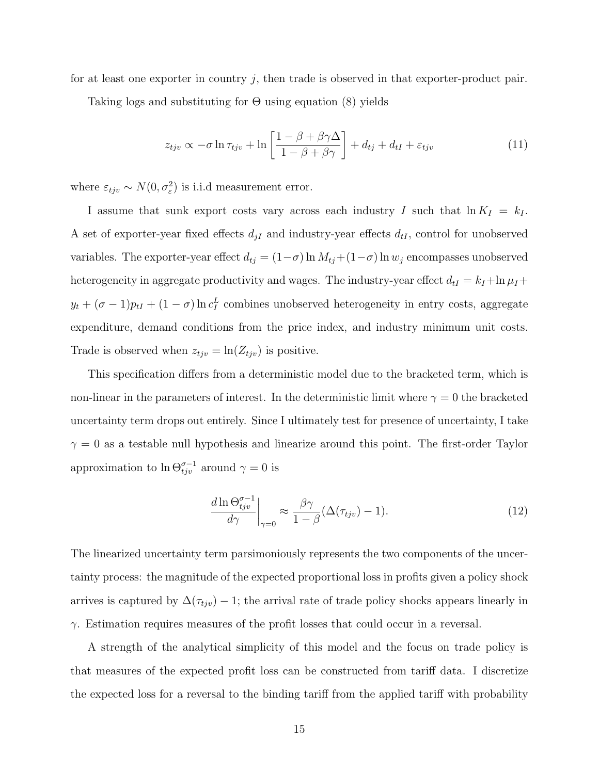for at least one exporter in country  $j$ , then trade is observed in that exporter-product pair.

Taking logs and substituting for Θ using equation (8) yields

$$
z_{tj\upsilon} \propto -\sigma \ln \tau_{tj\upsilon} + \ln \left[ \frac{1 - \beta + \beta \gamma \Delta}{1 - \beta + \beta \gamma} \right] + d_{tj} + d_{tI} + \varepsilon_{tj\upsilon}
$$
 (11)

where  $\varepsilon_{tj\nu} \sim N(0, \sigma_{\varepsilon}^2)$  is i.i.d measurement error.

I assume that sunk export costs vary across each industry I such that  $\ln K_I = k_I$ . A set of exporter-year fixed effects  $d_{jI}$  and industry-year effects  $d_{tI}$ , control for unobserved variables. The exporter-year effect  $d_{tj} = (1 - \sigma) \ln M_{tj} + (1 - \sigma) \ln w_j$  encompasses unobserved heterogeneity in aggregate productivity and wages. The industry-year effect  $d_{tI} = k_I + \ln \mu_I +$  $y_t + (\sigma - 1)p_{tI} + (1 - \sigma) \ln c_I^L$  combines unobserved heterogeneity in entry costs, aggregate expenditure, demand conditions from the price index, and industry minimum unit costs. Trade is observed when  $z_{tjv} = \ln(Z_{tjv})$  is positive.

This specification differs from a deterministic model due to the bracketed term, which is non-linear in the parameters of interest. In the deterministic limit where  $\gamma = 0$  the bracketed uncertainty term drops out entirely. Since I ultimately test for presence of uncertainty, I take  $\gamma = 0$  as a testable null hypothesis and linearize around this point. The first-order Taylor approximation to  $\ln \Theta_{tjv}^{\sigma-1}$  around  $\gamma = 0$  is

$$
\frac{d\ln\Theta_{tj\upsilon}^{\sigma-1}}{d\gamma}\bigg|_{\gamma=0} \approx \frac{\beta\gamma}{1-\beta}(\Delta(\tau_{tj\upsilon})-1). \tag{12}
$$

The linearized uncertainty term parsimoniously represents the two components of the uncertainty process: the magnitude of the expected proportional loss in profits given a policy shock arrives is captured by  $\Delta(\tau_{tiv}) - 1$ ; the arrival rate of trade policy shocks appears linearly in  $\gamma$ . Estimation requires measures of the profit losses that could occur in a reversal.

A strength of the analytical simplicity of this model and the focus on trade policy is that measures of the expected profit loss can be constructed from tariff data. I discretize the expected loss for a reversal to the binding tariff from the applied tariff with probability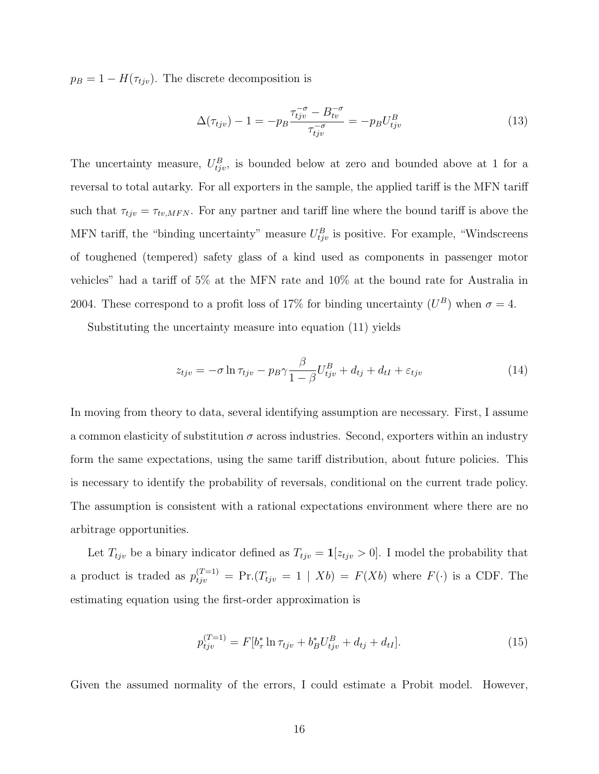$p_B = 1 - H(\tau_{tjv})$ . The discrete decomposition is

$$
\Delta(\tau_{tjv}) - 1 = -p_B \frac{\tau_{tjv}^{-\sigma} - B_{tv}^{-\sigma}}{\tau_{tjv}^{-\sigma}} = -p_B U_{tjv}^B
$$
\n(13)

The uncertainty measure,  $U_{ijv}^B$ , is bounded below at zero and bounded above at 1 for a reversal to total autarky. For all exporters in the sample, the applied tariff is the MFN tariff such that  $\tau_{tj\upsilon} = \tau_{tv,MFN}$ . For any partner and tariff line where the bound tariff is above the MFN tariff, the "binding uncertainty" measure  $U_{ijv}^B$  is positive. For example, "Windscreens" of toughened (tempered) safety glass of a kind used as components in passenger motor vehicles" had a tariff of 5% at the MFN rate and 10% at the bound rate for Australia in 2004. These correspond to a profit loss of 17% for binding uncertainty  $(U^B)$  when  $\sigma = 4$ .

Substituting the uncertainty measure into equation (11) yields

$$
z_{tjv} = -\sigma \ln \tau_{tjv} - p_B \gamma \frac{\beta}{1-\beta} U_{tjv}^B + d_{tj} + d_{tI} + \varepsilon_{tjv}
$$
\n(14)

In moving from theory to data, several identifying assumption are necessary. First, I assume a common elasticity of substitution  $\sigma$  across industries. Second, exporters within an industry form the same expectations, using the same tariff distribution, about future policies. This is necessary to identify the probability of reversals, conditional on the current trade policy. The assumption is consistent with a rational expectations environment where there are no arbitrage opportunities.

Let  $T_{tj\nu}$  be a binary indicator defined as  $T_{tj\nu} = \mathbf{1}[z_{tj\nu} > 0]$ . I model the probability that a product is traded as  $p_{tj v}^{(T=1)} = \Pr(T_{tj v} = 1 | Xb) = F(Xb)$  where  $F(\cdot)$  is a CDF. The estimating equation using the first-order approximation is

$$
p_{tjv}^{(T=1)} = F[b_{\tau}^* \ln \tau_{tjv} + b_B^* U_{tjv}^B + d_{tj} + d_{tI}]. \tag{15}
$$

Given the assumed normality of the errors, I could estimate a Probit model. However,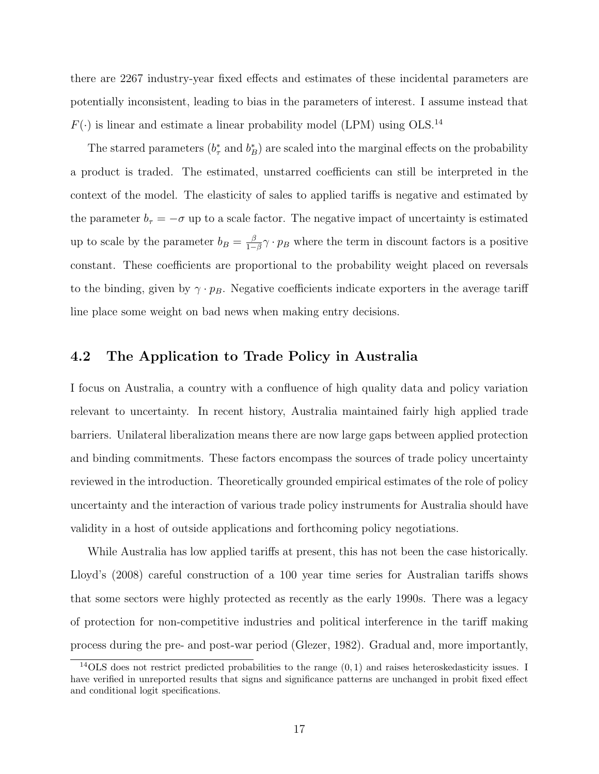there are 2267 industry-year fixed effects and estimates of these incidental parameters are potentially inconsistent, leading to bias in the parameters of interest. I assume instead that  $F(\cdot)$  is linear and estimate a linear probability model (LPM) using OLS.<sup>14</sup>

The starred parameters  $(b^*_{\tau}$  and  $b^*_{B})$  are scaled into the marginal effects on the probability a product is traded. The estimated, unstarred coefficients can still be interpreted in the context of the model. The elasticity of sales to applied tariffs is negative and estimated by the parameter  $b_{\tau} = -\sigma$  up to a scale factor. The negative impact of uncertainty is estimated up to scale by the parameter  $b_B = \frac{\beta}{1-\beta}$  $\frac{\beta}{1-\beta}\gamma \cdot p_B$  where the term in discount factors is a positive constant. These coefficients are proportional to the probability weight placed on reversals to the binding, given by  $\gamma \cdot p_B$ . Negative coefficients indicate exporters in the average tariff line place some weight on bad news when making entry decisions.

## 4.2 The Application to Trade Policy in Australia

I focus on Australia, a country with a confluence of high quality data and policy variation relevant to uncertainty. In recent history, Australia maintained fairly high applied trade barriers. Unilateral liberalization means there are now large gaps between applied protection and binding commitments. These factors encompass the sources of trade policy uncertainty reviewed in the introduction. Theoretically grounded empirical estimates of the role of policy uncertainty and the interaction of various trade policy instruments for Australia should have validity in a host of outside applications and forthcoming policy negotiations.

While Australia has low applied tariffs at present, this has not been the case historically. Lloyd's (2008) careful construction of a 100 year time series for Australian tariffs shows that some sectors were highly protected as recently as the early 1990s. There was a legacy of protection for non-competitive industries and political interference in the tariff making process during the pre- and post-war period (Glezer, 1982). Gradual and, more importantly,

<sup>&</sup>lt;sup>14</sup>OLS does not restrict predicted probabilities to the range  $(0, 1)$  and raises heteroskedasticity issues. I have verified in unreported results that signs and significance patterns are unchanged in probit fixed effect and conditional logit specifications.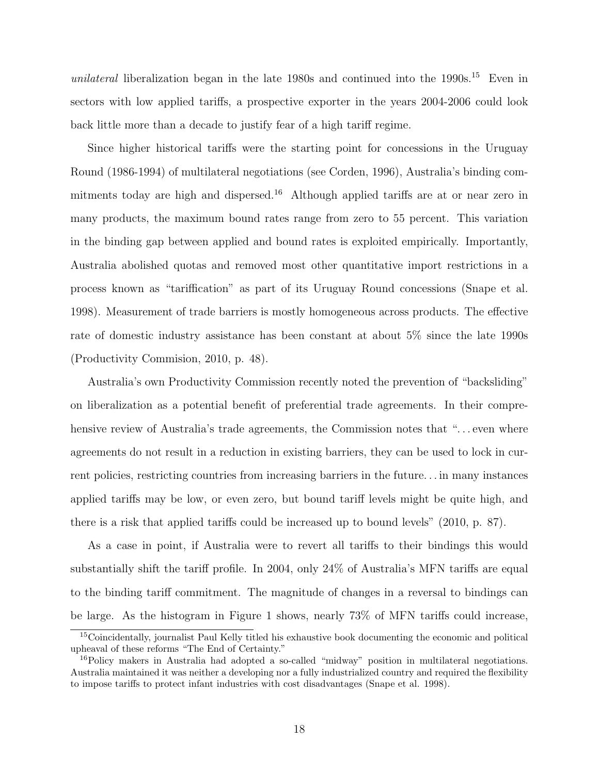unilateral liberalization began in the late 1980s and continued into the  $1990s$ .<sup>15</sup> Even in sectors with low applied tariffs, a prospective exporter in the years 2004-2006 could look back little more than a decade to justify fear of a high tariff regime.

Since higher historical tariffs were the starting point for concessions in the Uruguay Round (1986-1994) of multilateral negotiations (see Corden, 1996), Australia's binding commitments today are high and dispersed.<sup>16</sup> Although applied tariffs are at or near zero in many products, the maximum bound rates range from zero to 55 percent. This variation in the binding gap between applied and bound rates is exploited empirically. Importantly, Australia abolished quotas and removed most other quantitative import restrictions in a process known as "tariffication" as part of its Uruguay Round concessions (Snape et al. 1998). Measurement of trade barriers is mostly homogeneous across products. The effective rate of domestic industry assistance has been constant at about 5% since the late 1990s (Productivity Commision, 2010, p. 48).

Australia's own Productivity Commission recently noted the prevention of "backsliding" on liberalization as a potential benefit of preferential trade agreements. In their comprehensive review of Australia's trade agreements, the Commission notes that "... even where agreements do not result in a reduction in existing barriers, they can be used to lock in current policies, restricting countries from increasing barriers in the future. . . in many instances applied tariffs may be low, or even zero, but bound tariff levels might be quite high, and there is a risk that applied tariffs could be increased up to bound levels" (2010, p. 87).

As a case in point, if Australia were to revert all tariffs to their bindings this would substantially shift the tariff profile. In 2004, only 24% of Australia's MFN tariffs are equal to the binding tariff commitment. The magnitude of changes in a reversal to bindings can be large. As the histogram in Figure 1 shows, nearly 73% of MFN tariffs could increase,

<sup>15</sup>Coincidentally, journalist Paul Kelly titled his exhaustive book documenting the economic and political upheaval of these reforms "The End of Certainty."

<sup>16</sup>Policy makers in Australia had adopted a so-called "midway" position in multilateral negotiations. Australia maintained it was neither a developing nor a fully industrialized country and required the flexibility to impose tariffs to protect infant industries with cost disadvantages (Snape et al. 1998).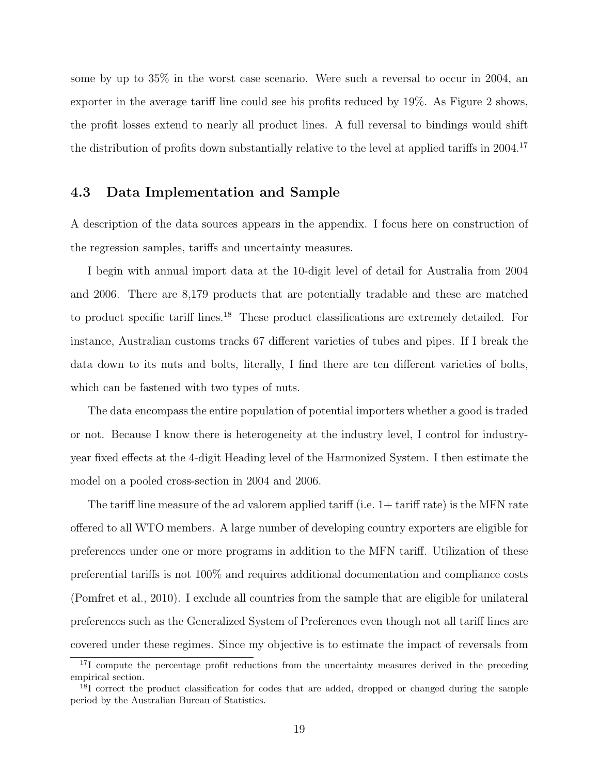some by up to 35% in the worst case scenario. Were such a reversal to occur in 2004, an exporter in the average tariff line could see his profits reduced by 19%. As Figure 2 shows, the profit losses extend to nearly all product lines. A full reversal to bindings would shift the distribution of profits down substantially relative to the level at applied tariffs in 2004.<sup>17</sup>

## 4.3 Data Implementation and Sample

A description of the data sources appears in the appendix. I focus here on construction of the regression samples, tariffs and uncertainty measures.

I begin with annual import data at the 10-digit level of detail for Australia from 2004 and 2006. There are 8,179 products that are potentially tradable and these are matched to product specific tariff lines.<sup>18</sup> These product classifications are extremely detailed. For instance, Australian customs tracks 67 different varieties of tubes and pipes. If I break the data down to its nuts and bolts, literally, I find there are ten different varieties of bolts, which can be fastened with two types of nuts.

The data encompass the entire population of potential importers whether a good is traded or not. Because I know there is heterogeneity at the industry level, I control for industryyear fixed effects at the 4-digit Heading level of the Harmonized System. I then estimate the model on a pooled cross-section in 2004 and 2006.

The tariff line measure of the ad valorem applied tariff (i.e. 1+ tariff rate) is the MFN rate offered to all WTO members. A large number of developing country exporters are eligible for preferences under one or more programs in addition to the MFN tariff. Utilization of these preferential tariffs is not 100% and requires additional documentation and compliance costs (Pomfret et al., 2010). I exclude all countries from the sample that are eligible for unilateral preferences such as the Generalized System of Preferences even though not all tariff lines are covered under these regimes. Since my objective is to estimate the impact of reversals from

<sup>&</sup>lt;sup>17</sup>I compute the percentage profit reductions from the uncertainty measures derived in the preceding empirical section.

 $^{18}$ I correct the product classification for codes that are added, dropped or changed during the sample period by the Australian Bureau of Statistics.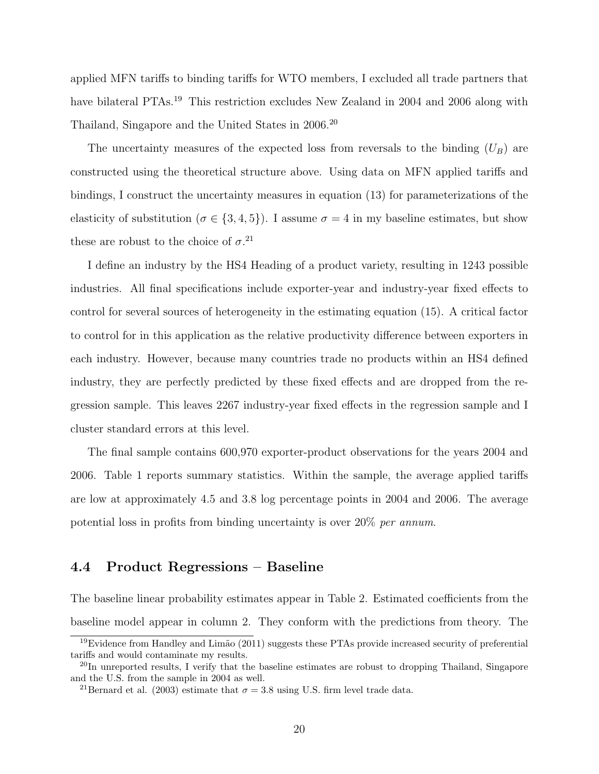applied MFN tariffs to binding tariffs for WTO members, I excluded all trade partners that have bilateral PTAs.<sup>19</sup> This restriction excludes New Zealand in 2004 and 2006 along with Thailand, Singapore and the United States in 2006.<sup>20</sup>

The uncertainty measures of the expected loss from reversals to the binding  $(U_B)$  are constructed using the theoretical structure above. Using data on MFN applied tariffs and bindings, I construct the uncertainty measures in equation (13) for parameterizations of the elasticity of substitution ( $\sigma \in \{3, 4, 5\}$ ). I assume  $\sigma = 4$  in my baseline estimates, but show these are robust to the choice of  $\sigma$ <sup>21</sup>

I define an industry by the HS4 Heading of a product variety, resulting in 1243 possible industries. All final specifications include exporter-year and industry-year fixed effects to control for several sources of heterogeneity in the estimating equation (15). A critical factor to control for in this application as the relative productivity difference between exporters in each industry. However, because many countries trade no products within an HS4 defined industry, they are perfectly predicted by these fixed effects and are dropped from the regression sample. This leaves 2267 industry-year fixed effects in the regression sample and I cluster standard errors at this level.

The final sample contains 600,970 exporter-product observations for the years 2004 and 2006. Table 1 reports summary statistics. Within the sample, the average applied tariffs are low at approximately 4.5 and 3.8 log percentage points in 2004 and 2006. The average potential loss in profits from binding uncertainty is over 20% per annum.

## 4.4 Product Regressions – Baseline

The baseline linear probability estimates appear in Table 2. Estimated coefficients from the baseline model appear in column 2. They conform with the predictions from theory. The

 $19$ Evidence from Handley and Limão (2011) suggests these PTAs provide increased security of preferential tariffs and would contaminate my results.

<sup>&</sup>lt;sup>20</sup>In unreported results, I verify that the baseline estimates are robust to dropping Thailand, Singapore and the U.S. from the sample in 2004 as well.

<sup>&</sup>lt;sup>21</sup>Bernard et al. (2003) estimate that  $\sigma = 3.8$  using U.S. firm level trade data.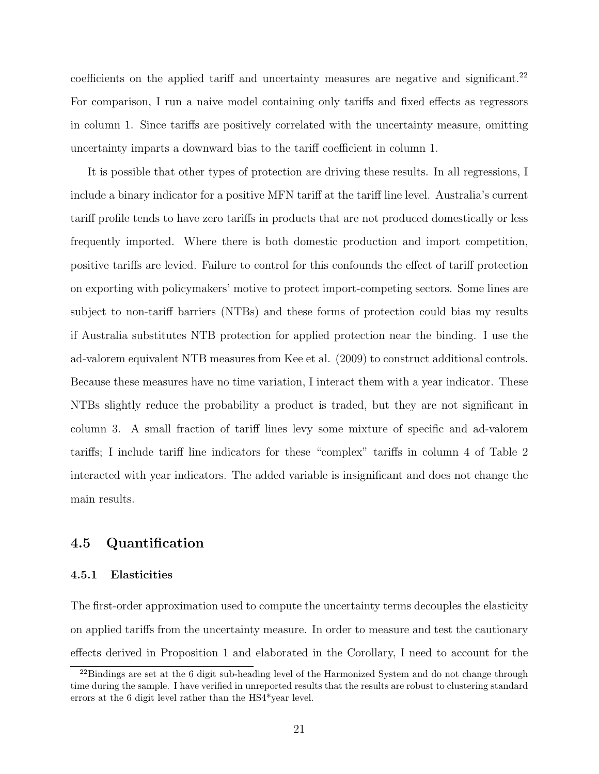coefficients on the applied tariff and uncertainty measures are negative and significant.<sup>22</sup> For comparison, I run a naive model containing only tariffs and fixed effects as regressors in column 1. Since tariffs are positively correlated with the uncertainty measure, omitting uncertainty imparts a downward bias to the tariff coefficient in column 1.

It is possible that other types of protection are driving these results. In all regressions, I include a binary indicator for a positive MFN tariff at the tariff line level. Australia's current tariff profile tends to have zero tariffs in products that are not produced domestically or less frequently imported. Where there is both domestic production and import competition, positive tariffs are levied. Failure to control for this confounds the effect of tariff protection on exporting with policymakers' motive to protect import-competing sectors. Some lines are subject to non-tariff barriers (NTBs) and these forms of protection could bias my results if Australia substitutes NTB protection for applied protection near the binding. I use the ad-valorem equivalent NTB measures from Kee et al. (2009) to construct additional controls. Because these measures have no time variation, I interact them with a year indicator. These NTBs slightly reduce the probability a product is traded, but they are not significant in column 3. A small fraction of tariff lines levy some mixture of specific and ad-valorem tariffs; I include tariff line indicators for these "complex" tariffs in column 4 of Table 2 interacted with year indicators. The added variable is insignificant and does not change the main results.

## 4.5 Quantification

#### 4.5.1 Elasticities

The first-order approximation used to compute the uncertainty terms decouples the elasticity on applied tariffs from the uncertainty measure. In order to measure and test the cautionary effects derived in Proposition 1 and elaborated in the Corollary, I need to account for the

<sup>&</sup>lt;sup>22</sup>Bindings are set at the 6 digit sub-heading level of the Harmonized System and do not change through time during the sample. I have verified in unreported results that the results are robust to clustering standard errors at the 6 digit level rather than the HS4\*year level.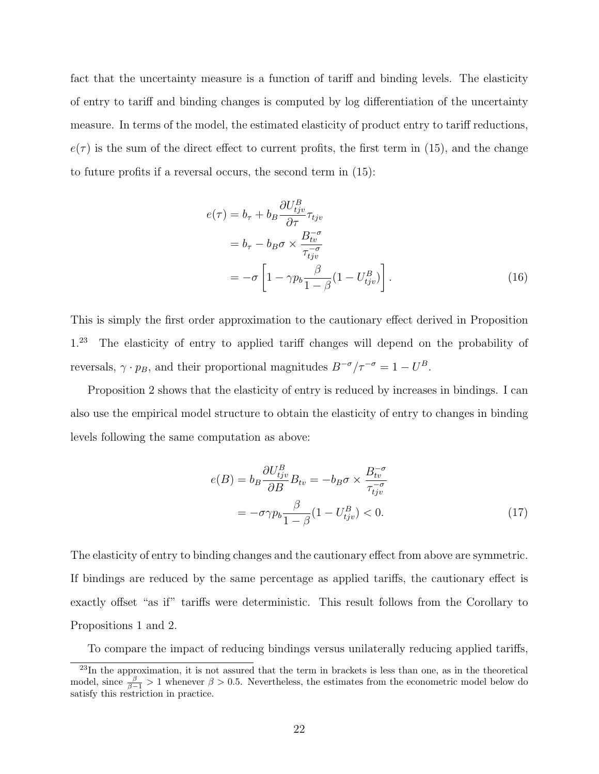fact that the uncertainty measure is a function of tariff and binding levels. The elasticity of entry to tariff and binding changes is computed by log differentiation of the uncertainty measure. In terms of the model, the estimated elasticity of product entry to tariff reductions,  $e(\tau)$  is the sum of the direct effect to current profits, the first term in (15), and the change to future profits if a reversal occurs, the second term in (15):

$$
e(\tau) = b_{\tau} + b_{B} \frac{\partial U_{ijv}^{B}}{\partial \tau} \tau_{ijv}
$$
  
=  $b_{\tau} - b_{B} \sigma \times \frac{B_{iv}^{-\sigma}}{\tau_{ijv}^{-\sigma}}$   
=  $-\sigma \left[1 - \gamma p_{b} \frac{\beta}{1 - \beta} (1 - U_{ijv}^{B})\right].$  (16)

This is simply the first order approximation to the cautionary effect derived in Proposition 1.<sup>23</sup> The elasticity of entry to applied tariff changes will depend on the probability of reversals,  $\gamma \cdot p_B$ , and their proportional magnitudes  $B^{-\sigma}/\tau^{-\sigma} = 1 - U^B$ .

Proposition 2 shows that the elasticity of entry is reduced by increases in bindings. I can also use the empirical model structure to obtain the elasticity of entry to changes in binding levels following the same computation as above:

$$
e(B) = b_B \frac{\partial U_{tjv}^B}{\partial B} B_{tv} = -b_B \sigma \times \frac{B_{tv}^{-\sigma}}{\tau_{tjv}^{-\sigma}}
$$

$$
= -\sigma \gamma p_b \frac{\beta}{1-\beta} (1 - U_{tjv}^B) < 0. \tag{17}
$$

The elasticity of entry to binding changes and the cautionary effect from above are symmetric. If bindings are reduced by the same percentage as applied tariffs, the cautionary effect is exactly offset "as if" tariffs were deterministic. This result follows from the Corollary to Propositions 1 and 2.

To compare the impact of reducing bindings versus unilaterally reducing applied tariffs,

 $^{23}$ In the approximation, it is not assured that the term in brackets is less than one, as in the theoretical model, since  $\frac{\beta}{\beta-1} > 1$  whenever  $\beta > 0.5$ . Nevertheless, the estimates from the econometric model below do satisfy this restriction in practice.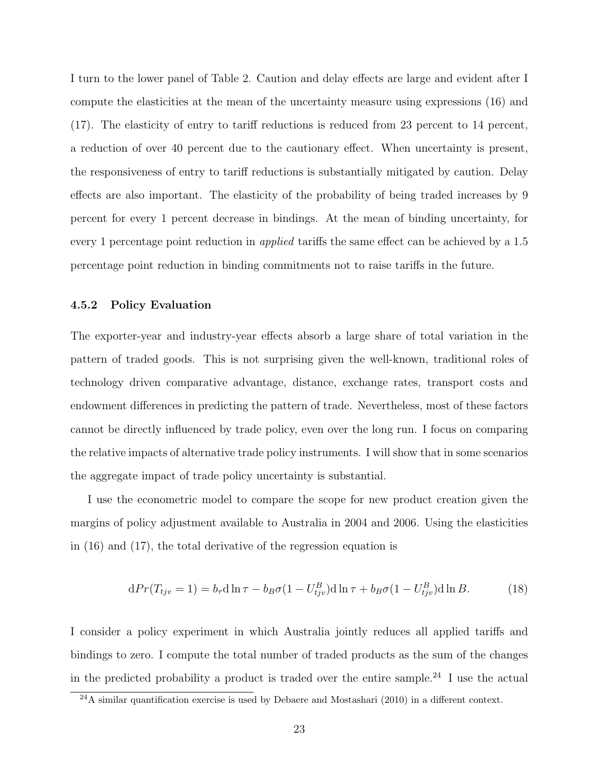I turn to the lower panel of Table 2. Caution and delay effects are large and evident after I compute the elasticities at the mean of the uncertainty measure using expressions (16) and (17). The elasticity of entry to tariff reductions is reduced from 23 percent to 14 percent, a reduction of over 40 percent due to the cautionary effect. When uncertainty is present, the responsiveness of entry to tariff reductions is substantially mitigated by caution. Delay effects are also important. The elasticity of the probability of being traded increases by 9 percent for every 1 percent decrease in bindings. At the mean of binding uncertainty, for every 1 percentage point reduction in *applied* tariffs the same effect can be achieved by a 1.5 percentage point reduction in binding commitments not to raise tariffs in the future.

#### 4.5.2 Policy Evaluation

The exporter-year and industry-year effects absorb a large share of total variation in the pattern of traded goods. This is not surprising given the well-known, traditional roles of technology driven comparative advantage, distance, exchange rates, transport costs and endowment differences in predicting the pattern of trade. Nevertheless, most of these factors cannot be directly influenced by trade policy, even over the long run. I focus on comparing the relative impacts of alternative trade policy instruments. I will show that in some scenarios the aggregate impact of trade policy uncertainty is substantial.

I use the econometric model to compare the scope for new product creation given the margins of policy adjustment available to Australia in 2004 and 2006. Using the elasticities in (16) and (17), the total derivative of the regression equation is

$$
dPr(T_{tjv} = 1) = b_{\tau} d \ln \tau - b_B \sigma (1 - U_{tjv}^B) d \ln \tau + b_B \sigma (1 - U_{tjv}^B) d \ln B.
$$
 (18)

I consider a policy experiment in which Australia jointly reduces all applied tariffs and bindings to zero. I compute the total number of traded products as the sum of the changes in the predicted probability a product is traded over the entire sample.<sup>24</sup> I use the actual

<sup>&</sup>lt;sup>24</sup>A similar quantification exercise is used by Debaere and Mostashari (2010) in a different context.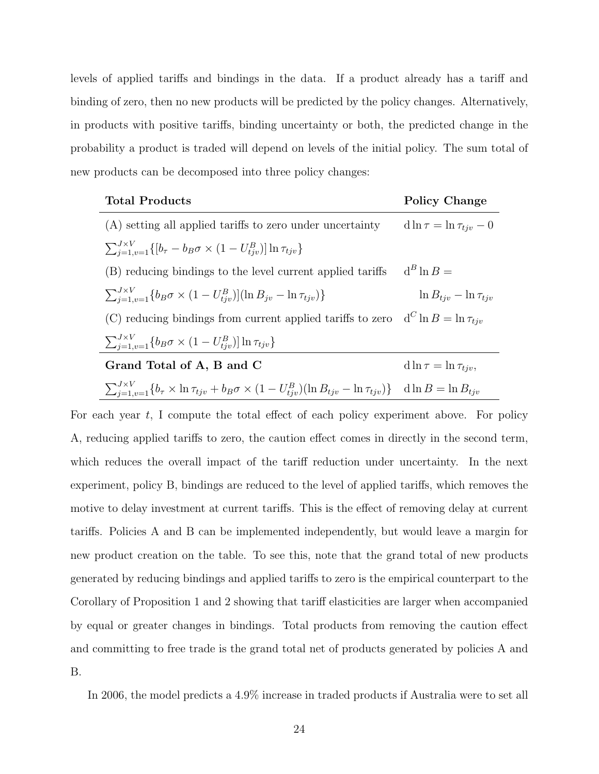levels of applied tariffs and bindings in the data. If a product already has a tariff and binding of zero, then no new products will be predicted by the policy changes. Alternatively, in products with positive tariffs, binding uncertainty or both, the predicted change in the probability a product is traded will depend on levels of the initial policy. The sum total of new products can be decomposed into three policy changes:

s Policy Change

| (A) setting all applied tariffs to zero under uncertainty                                                                          | $\mathrm{d}\ln\tau=\ln\tau_{tiv}-0$ |
|------------------------------------------------------------------------------------------------------------------------------------|-------------------------------------|
| $\sum_{i=1}^{J\times V} \sum_{v=1} \{ [b_{\tau} - b_B \sigma \times (1 - U_{tiv}^B)] \ln \tau_{tiv} \}$                            |                                     |
| (B) reducing bindings to the level current applied tariffs                                                                         | $d^B \ln B =$                       |
| $\sum_{i=1, v=1}^{J \times V} \{b_B \sigma \times (1 - U_{tiv}^B)   (\ln B_{jv} - \ln \tau_{tiv})\}$                               | $\ln B_{tiv} - \ln \tau_{tiv}$      |
| (C) reducing bindings from current applied tariffs to zero $d^C \ln B = \ln \tau_{\text{triv}}$                                    |                                     |
| $\sum_{i=1}^{J\times V} \{b_B \sigma \times (1-U_{tiv}^B)\}\ln \tau_{tj\upsilon}\}$                                                |                                     |
| Grand Total of A, B and C                                                                                                          | $d \ln \tau = \ln \tau_{tiv},$      |
| $\sum_{j=1, v=1}^{J\times V} \{b_\tau \times \ln \tau_{tj v} + b_B \sigma \times (1-U_{tj v}^B)(\ln B_{tj v} - \ln \tau_{tj v})\}$ | $d \ln B = \ln B_{tiv}$             |

For each year  $t$ , I compute the total effect of each policy experiment above. For policy A, reducing applied tariffs to zero, the caution effect comes in directly in the second term, which reduces the overall impact of the tariff reduction under uncertainty. In the next experiment, policy B, bindings are reduced to the level of applied tariffs, which removes the motive to delay investment at current tariffs. This is the effect of removing delay at current tariffs. Policies A and B can be implemented independently, but would leave a margin for new product creation on the table. To see this, note that the grand total of new products generated by reducing bindings and applied tariffs to zero is the empirical counterpart to the Corollary of Proposition 1 and 2 showing that tariff elasticities are larger when accompanied by equal or greater changes in bindings. Total products from removing the caution effect and committing to free trade is the grand total net of products generated by policies A and B.

In 2006, the model predicts a 4.9% increase in traded products if Australia were to set all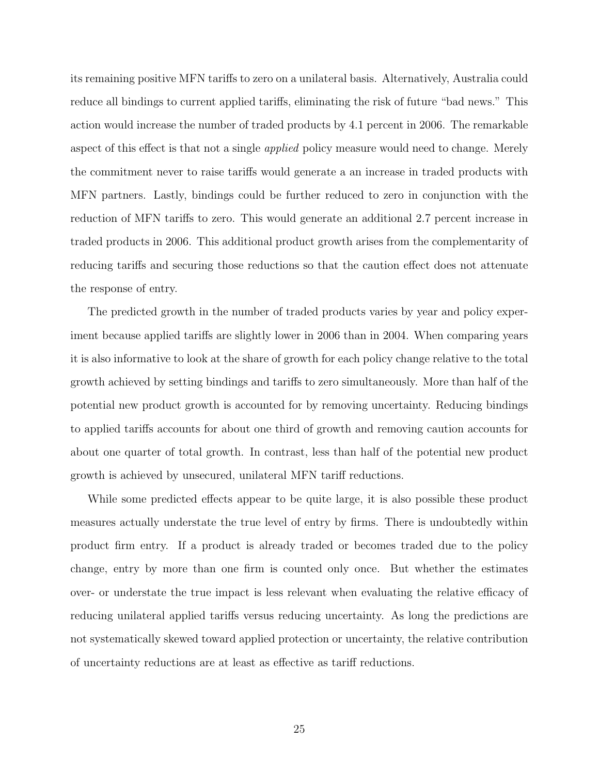its remaining positive MFN tariffs to zero on a unilateral basis. Alternatively, Australia could reduce all bindings to current applied tariffs, eliminating the risk of future "bad news." This action would increase the number of traded products by 4.1 percent in 2006. The remarkable aspect of this effect is that not a single applied policy measure would need to change. Merely the commitment never to raise tariffs would generate a an increase in traded products with MFN partners. Lastly, bindings could be further reduced to zero in conjunction with the reduction of MFN tariffs to zero. This would generate an additional 2.7 percent increase in traded products in 2006. This additional product growth arises from the complementarity of reducing tariffs and securing those reductions so that the caution effect does not attenuate the response of entry.

The predicted growth in the number of traded products varies by year and policy experiment because applied tariffs are slightly lower in 2006 than in 2004. When comparing years it is also informative to look at the share of growth for each policy change relative to the total growth achieved by setting bindings and tariffs to zero simultaneously. More than half of the potential new product growth is accounted for by removing uncertainty. Reducing bindings to applied tariffs accounts for about one third of growth and removing caution accounts for about one quarter of total growth. In contrast, less than half of the potential new product growth is achieved by unsecured, unilateral MFN tariff reductions.

While some predicted effects appear to be quite large, it is also possible these product measures actually understate the true level of entry by firms. There is undoubtedly within product firm entry. If a product is already traded or becomes traded due to the policy change, entry by more than one firm is counted only once. But whether the estimates over- or understate the true impact is less relevant when evaluating the relative efficacy of reducing unilateral applied tariffs versus reducing uncertainty. As long the predictions are not systematically skewed toward applied protection or uncertainty, the relative contribution of uncertainty reductions are at least as effective as tariff reductions.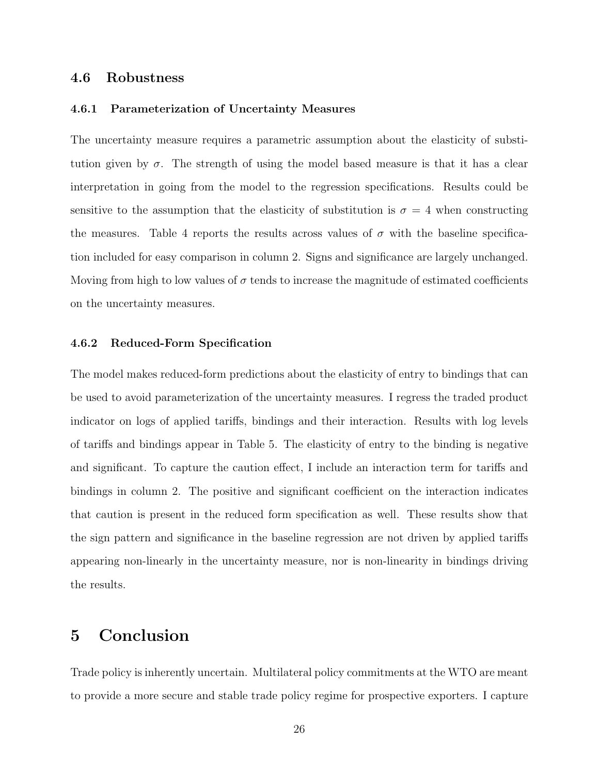#### 4.6 Robustness

#### 4.6.1 Parameterization of Uncertainty Measures

The uncertainty measure requires a parametric assumption about the elasticity of substitution given by  $\sigma$ . The strength of using the model based measure is that it has a clear interpretation in going from the model to the regression specifications. Results could be sensitive to the assumption that the elasticity of substitution is  $\sigma = 4$  when constructing the measures. Table 4 reports the results across values of  $\sigma$  with the baseline specification included for easy comparison in column 2. Signs and significance are largely unchanged. Moving from high to low values of  $\sigma$  tends to increase the magnitude of estimated coefficients on the uncertainty measures.

#### 4.6.2 Reduced-Form Specification

The model makes reduced-form predictions about the elasticity of entry to bindings that can be used to avoid parameterization of the uncertainty measures. I regress the traded product indicator on logs of applied tariffs, bindings and their interaction. Results with log levels of tariffs and bindings appear in Table 5. The elasticity of entry to the binding is negative and significant. To capture the caution effect, I include an interaction term for tariffs and bindings in column 2. The positive and significant coefficient on the interaction indicates that caution is present in the reduced form specification as well. These results show that the sign pattern and significance in the baseline regression are not driven by applied tariffs appearing non-linearly in the uncertainty measure, nor is non-linearity in bindings driving the results.

# 5 Conclusion

Trade policy is inherently uncertain. Multilateral policy commitments at the WTO are meant to provide a more secure and stable trade policy regime for prospective exporters. I capture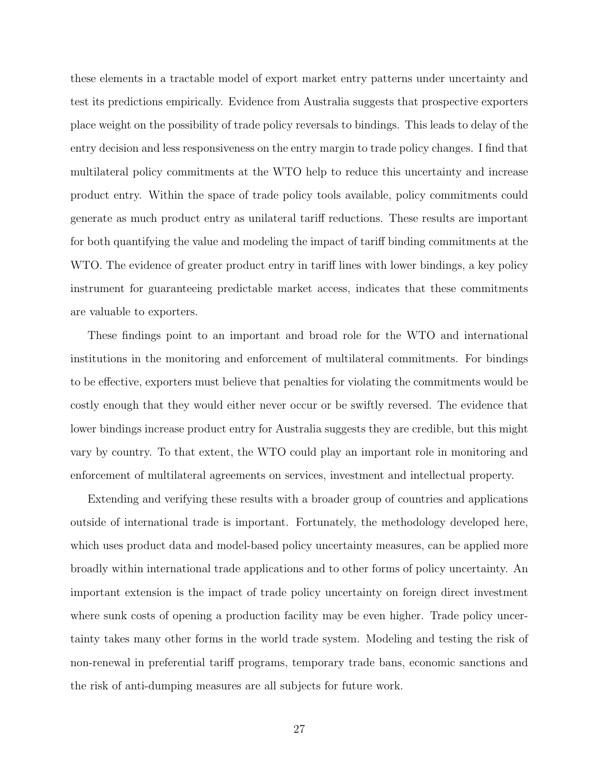these elements in a tractable model of export market entry patterns under uncertainty and test its predictions empirically. Evidence from Australia suggests that prospective exporters place weight on the possibility of trade policy reversals to bindings. This leads to delay of the entry decision and less responsiveness on the entry margin to trade policy changes. I find that multilateral policy commitments at the WTO help to reduce this uncertainty and increase product entry. Within the space of trade policy tools available, policy commitments could generate as much product entry as unilateral tariff reductions. These results are important for both quantifying the value and modeling the impact of tariff binding commitments at the WTO. The evidence of greater product entry in tariff lines with lower bindings, a key policy instrument for guaranteeing predictable market access, indicates that these commitments are valuable to exporters.

These findings point to an important and broad role for the WTO and international institutions in the monitoring and enforcement of multilateral commitments. For bindings to be effective, exporters must believe that penalties for violating the commitments would be costly enough that they would either never occur or be swiftly reversed. The evidence that lower bindings increase product entry for Australia suggests they are credible, but this might vary by country. To that extent, the WTO could play an important role in monitoring and enforcement of multilateral agreements on services, investment and intellectual property.

Extending and verifying these results with a broader group of countries and applications outside of international trade is important. Fortunately, the methodology developed here, which uses product data and model-based policy uncertainty measures, can be applied more broadly within international trade applications and to other forms of policy uncertainty. An important extension is the impact of trade policy uncertainty on foreign direct investment where sunk costs of opening a production facility may be even higher. Trade policy uncertainty takes many other forms in the world trade system. Modeling and testing the risk of non-renewal in preferential tariff programs, temporary trade bans, economic sanctions and the risk of anti-dumping measures are all subjects for future work.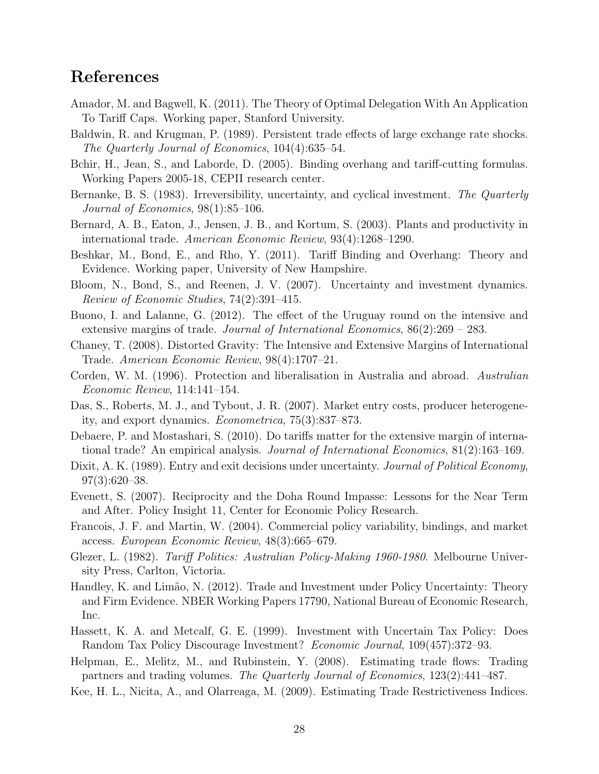# References

- Amador, M. and Bagwell, K. (2011). The Theory of Optimal Delegation With An Application To Tariff Caps. Working paper, Stanford University.
- Baldwin, R. and Krugman, P. (1989). Persistent trade effects of large exchange rate shocks. The Quarterly Journal of Economics, 104(4):635–54.
- Bchir, H., Jean, S., and Laborde, D. (2005). Binding overhang and tariff-cutting formulas. Working Papers 2005-18, CEPII research center.
- Bernanke, B. S. (1983). Irreversibility, uncertainty, and cyclical investment. The Quarterly Journal of Economics, 98(1):85–106.
- Bernard, A. B., Eaton, J., Jensen, J. B., and Kortum, S. (2003). Plants and productivity in international trade. American Economic Review, 93(4):1268–1290.
- Beshkar, M., Bond, E., and Rho, Y. (2011). Tariff Binding and Overhang: Theory and Evidence. Working paper, University of New Hampshire.
- Bloom, N., Bond, S., and Reenen, J. V. (2007). Uncertainty and investment dynamics. Review of Economic Studies, 74(2):391–415.
- Buono, I. and Lalanne, G. (2012). The effect of the Uruguay round on the intensive and extensive margins of trade. Journal of International Economics, 86(2):269 – 283.
- Chaney, T. (2008). Distorted Gravity: The Intensive and Extensive Margins of International Trade. American Economic Review, 98(4):1707–21.
- Corden, W. M. (1996). Protection and liberalisation in Australia and abroad. Australian Economic Review, 114:141–154.
- Das, S., Roberts, M. J., and Tybout, J. R. (2007). Market entry costs, producer heterogeneity, and export dynamics. Econometrica, 75(3):837–873.
- Debaere, P. and Mostashari, S. (2010). Do tariffs matter for the extensive margin of international trade? An empirical analysis. Journal of International Economics, 81(2):163–169.
- Dixit, A. K. (1989). Entry and exit decisions under uncertainty. Journal of Political Economy, 97(3):620–38.
- Evenett, S. (2007). Reciprocity and the Doha Round Impasse: Lessons for the Near Term and After. Policy Insight 11, Center for Economic Policy Research.
- Francois, J. F. and Martin, W. (2004). Commercial policy variability, bindings, and market access. European Economic Review, 48(3):665–679.
- Glezer, L. (1982). *Tariff Politics: Australian Policy-Making 1960-1980*. Melbourne University Press, Carlton, Victoria.
- Handley, K. and Limão, N. (2012). Trade and Investment under Policy Uncertainty: Theory and Firm Evidence. NBER Working Papers 17790, National Bureau of Economic Research, Inc.
- Hassett, K. A. and Metcalf, G. E. (1999). Investment with Uncertain Tax Policy: Does Random Tax Policy Discourage Investment? Economic Journal, 109(457):372–93.
- Helpman, E., Melitz, M., and Rubinstein, Y. (2008). Estimating trade flows: Trading partners and trading volumes. The Quarterly Journal of Economics, 123(2):441–487.
- Kee, H. L., Nicita, A., and Olarreaga, M. (2009). Estimating Trade Restrictiveness Indices.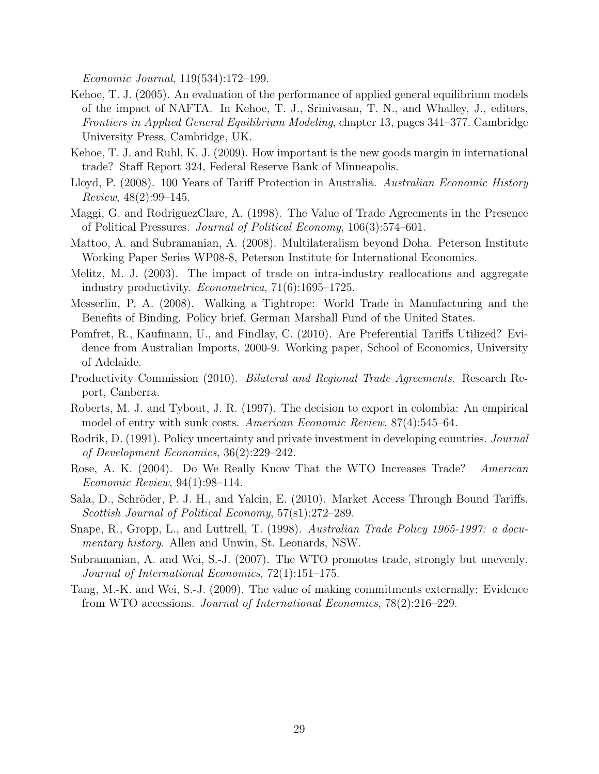Economic Journal, 119(534):172–199.

- Kehoe, T. J. (2005). An evaluation of the performance of applied general equilibrium models of the impact of NAFTA. In Kehoe, T. J., Srinivasan, T. N., and Whalley, J., editors, Frontiers in Applied General Equilibrium Modeling, chapter 13, pages 341–377. Cambridge University Press, Cambridge, UK.
- Kehoe, T. J. and Ruhl, K. J. (2009). How important is the new goods margin in international trade? Staff Report 324, Federal Reserve Bank of Minneapolis.
- Lloyd, P. (2008). 100 Years of Tariff Protection in Australia. Australian Economic History Review, 48(2):99–145.
- Maggi, G. and RodriguezClare, A. (1998). The Value of Trade Agreements in the Presence of Political Pressures. Journal of Political Economy, 106(3):574–601.
- Mattoo, A. and Subramanian, A. (2008). Multilateralism beyond Doha. Peterson Institute Working Paper Series WP08-8, Peterson Institute for International Economics.
- Melitz, M. J. (2003). The impact of trade on intra-industry reallocations and aggregate industry productivity. Econometrica, 71(6):1695–1725.
- Messerlin, P. A. (2008). Walking a Tightrope: World Trade in Manufacturing and the Benefits of Binding. Policy brief, German Marshall Fund of the United States.
- Pomfret, R., Kaufmann, U., and Findlay, C. (2010). Are Preferential Tariffs Utilized? Evidence from Australian Imports, 2000-9. Working paper, School of Economics, University of Adelaide.
- Productivity Commission (2010). Bilateral and Regional Trade Agreements. Research Report, Canberra.
- Roberts, M. J. and Tybout, J. R. (1997). The decision to export in colombia: An empirical model of entry with sunk costs. American Economic Review, 87(4):545–64.
- Rodrik, D. (1991). Policy uncertainty and private investment in developing countries. *Journal* of Development Economics, 36(2):229–242.
- Rose, A. K. (2004). Do We Really Know That the WTO Increases Trade? American Economic Review, 94(1):98–114.
- Sala, D., Schröder, P. J. H., and Yalcin, E. (2010). Market Access Through Bound Tariffs. Scottish Journal of Political Economy, 57(s1):272–289.
- Snape, R., Gropp, L., and Luttrell, T. (1998). Australian Trade Policy 1965-1997: a documentary history. Allen and Unwin, St. Leonards, NSW.
- Subramanian, A. and Wei, S.-J. (2007). The WTO promotes trade, strongly but unevenly. Journal of International Economics, 72(1):151–175.
- Tang, M.-K. and Wei, S.-J. (2009). The value of making commitments externally: Evidence from WTO accessions. Journal of International Economics, 78(2):216–229.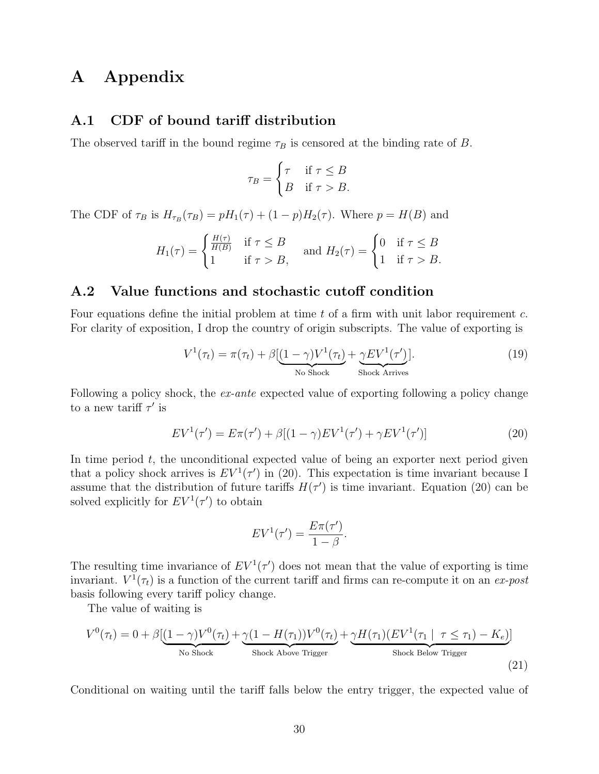# A Appendix

## A.1 CDF of bound tariff distribution

The observed tariff in the bound regime  $\tau_B$  is censored at the binding rate of B.

$$
\tau_B = \begin{cases} \tau & \text{if } \tau \le B \\ B & \text{if } \tau > B. \end{cases}
$$

The CDF of  $\tau_B$  is  $H_{\tau_B}(\tau_B) = pH_1(\tau) + (1-p)H_2(\tau)$ . Where  $p = H(B)$  and

$$
H_1(\tau) = \begin{cases} \frac{H(\tau)}{H(B)} & \text{if } \tau \leq B \\ 1 & \text{if } \tau > B, \end{cases} \quad \text{and } H_2(\tau) = \begin{cases} 0 & \text{if } \tau \leq B \\ 1 & \text{if } \tau > B. \end{cases}
$$

#### A.2 Value functions and stochastic cutoff condition

Four equations define the initial problem at time t of a firm with unit labor requirement c. For clarity of exposition, I drop the country of origin subscripts. The value of exporting is

$$
V^{1}(\tau_{t}) = \pi(\tau_{t}) + \beta \underbrace{[(1-\gamma)V^{1}(\tau_{t})}_{\text{No Shock}} + \underbrace{\gamma EV^{1}(\tau')}_{\text{Shock Arrives}}].
$$
\n(19)

Following a policy shock, the *ex-ante* expected value of exporting following a policy change to a new tariff  $\tau'$  is

$$
EV^{1}(\tau') = E\pi(\tau') + \beta[(1-\gamma)EV^{1}(\tau') + \gamma EV^{1}(\tau')]
$$
\n(20)

In time period  $t$ , the unconditional expected value of being an exporter next period given that a policy shock arrives is  $EV^1(\tau')$  in (20). This expectation is time invariant because I assume that the distribution of future tariffs  $H(\tau')$  is time invariant. Equation (20) can be solved explicitly for  $EV^1(\tau')$  to obtain

$$
EV^{1}(\tau') = \frac{E\pi(\tau')}{1 - \beta}.
$$

The resulting time invariance of  $EV^1(\tau')$  does not mean that the value of exporting is time invariant.  $V^1(\tau_t)$  is a function of the current tariff and firms can re-compute it on an ex-post basis following every tariff policy change.

The value of waiting is

$$
V^{0}(\tau_{t}) = 0 + \beta \left[ \underbrace{(1 - \gamma)V^{0}(\tau_{t})}_{\text{No Shock}} + \underbrace{\gamma(1 - H(\tau_{1}))V^{0}(\tau_{t})}_{\text{Shock Above Trigger}} + \underbrace{\gamma H(\tau_{1})(EV^{1}(\tau_{1} \mid \tau \le \tau_{1}) - K_{e})}_{\text{Shock Below Trigger}} \right]
$$
\n(21)

Conditional on waiting until the tariff falls below the entry trigger, the expected value of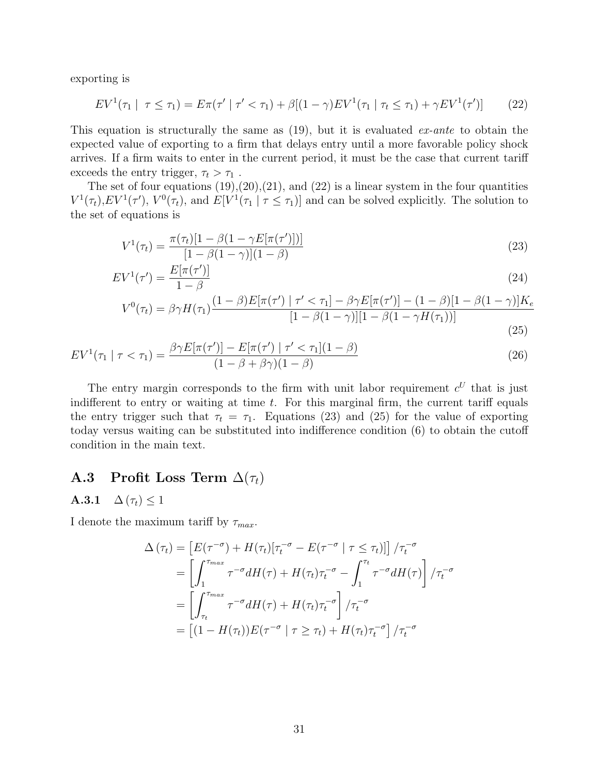exporting is

$$
EV^{1}(\tau_{1} \mid \tau \leq \tau_{1}) = E\pi(\tau' \mid \tau' < \tau_{1}) + \beta[(1-\gamma)EV^{1}(\tau_{1} \mid \tau_{t} \leq \tau_{1}) + \gamma EV^{1}(\tau')]
$$
(22)

This equation is structurally the same as  $(19)$ , but it is evaluated *ex-ante* to obtain the expected value of exporting to a firm that delays entry until a more favorable policy shock arrives. If a firm waits to enter in the current period, it must be the case that current tariff exceeds the entry trigger,  $\tau_t > \tau_1$ .

The set of four equations  $(19),(20),(21)$ , and  $(22)$  is a linear system in the four quantities  $V^1(\tau_t)$ ,  $EV^1(\tau')$ ,  $V^0(\tau_t)$ , and  $E[V^1(\tau_1 \mid \tau \leq \tau_1)]$  and can be solved explicitly. The solution to the set of equations is

$$
V^{1}(\tau_{t}) = \frac{\pi(\tau_{t})[1 - \beta(1 - \gamma E[\pi(\tau')])]}{[1 - \beta(1 - \gamma)](1 - \beta)}
$$
\n(23)

$$
EV^1(\tau') = \frac{E[\pi(\tau')]}{1 - \beta} \tag{24}
$$

$$
V^{0}(\tau_{t}) = \beta \gamma H(\tau_{1}) \frac{(1-\beta)E[\pi(\tau') | \tau' < \tau_{1}] - \beta \gamma E[\pi(\tau')] - (1-\beta)[1-\beta(1-\gamma)]K_{e}}{[1-\beta(1-\gamma)][1-\beta(1-\gamma H(\tau_{1}))]}
$$
(25)

$$
EV^{1}(\tau_{1} \mid \tau < \tau_{1}) = \frac{\beta \gamma E[\pi(\tau')] - E[\pi(\tau') \mid \tau' < \tau_{1}](1 - \beta)}{(1 - \beta + \beta \gamma)(1 - \beta)}\tag{26}
$$

The entry margin corresponds to the firm with unit labor requirement  $c^U$  that is just indifferent to entry or waiting at time  $t$ . For this marginal firm, the current tariff equals the entry trigger such that  $\tau_t = \tau_1$ . Equations (23) and (25) for the value of exporting today versus waiting can be substituted into indifference condition (6) to obtain the cutoff condition in the main text.

## A.3 Profit Loss Term  $\Delta(\tau_t)$

#### **A.3.1**  $\Delta(\tau_t) \leq 1$

I denote the maximum tariff by  $\tau_{max}$ .

$$
\Delta(\tau_t) = \left[ E(\tau^{-\sigma}) + H(\tau_t) [\tau_t^{-\sigma} - E(\tau^{-\sigma} | \tau \le \tau_t)] \right] / \tau_t^{-\sigma}
$$
  
\n
$$
= \left[ \int_1^{\tau_{max}} \tau^{-\sigma} dH(\tau) + H(\tau_t) \tau_t^{-\sigma} - \int_1^{\tau_t} \tau^{-\sigma} dH(\tau) \right] / \tau_t^{-\sigma}
$$
  
\n
$$
= \left[ \int_{\tau_t}^{\tau_{max}} \tau^{-\sigma} dH(\tau) + H(\tau_t) \tau_t^{-\sigma} \right] / \tau_t^{-\sigma}
$$
  
\n
$$
= \left[ (1 - H(\tau_t)) E(\tau^{-\sigma} | \tau \ge \tau_t) + H(\tau_t) \tau_t^{-\sigma} \right] / \tau_t^{-\sigma}
$$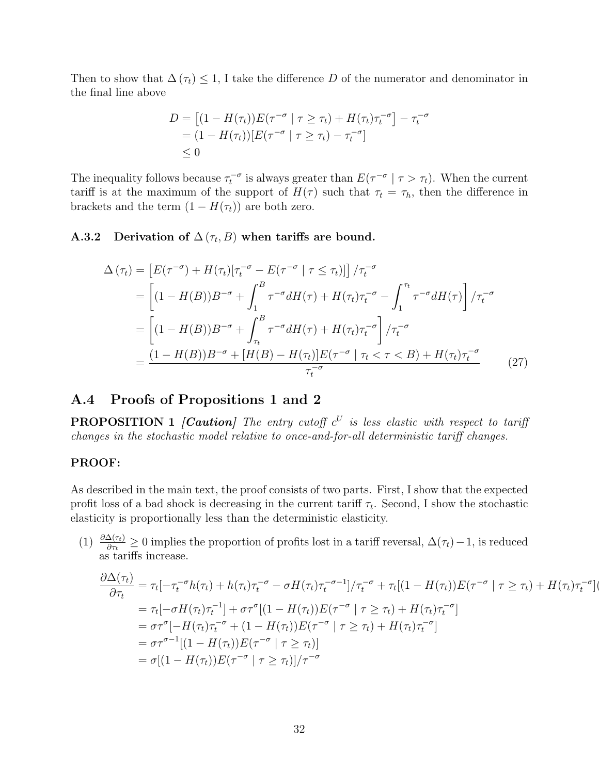Then to show that  $\Delta(\tau_t) \leq 1$ , I take the difference D of the numerator and denominator in the final line above

$$
D = \left[ (1 - H(\tau_t)) E(\tau^{-\sigma} \mid \tau \ge \tau_t) + H(\tau_t) \tau_t^{-\sigma} \right] - \tau_t^{-\sigma}
$$
  
= 
$$
(1 - H(\tau_t)) [E(\tau^{-\sigma} \mid \tau \ge \tau_t) - \tau_t^{-\sigma}]
$$
  

$$
\le 0
$$

The inequality follows because  $\tau_t^{-\sigma}$  is always greater than  $E(\tau^{-\sigma} | \tau > \tau_t)$ . When the current tariff is at the maximum of the support of  $H(\tau)$  such that  $\tau_t = \tau_h$ , then the difference in brackets and the term  $(1 - H(\tau_t))$  are both zero.

#### A.3.2 Derivation of  $\Delta(\tau_t, B)$  when tariffs are bound.

$$
\Delta(\tau_t) = \left[ E(\tau^{-\sigma}) + H(\tau_t) [\tau_t^{-\sigma} - E(\tau^{-\sigma} \mid \tau \le \tau_t)] \right] / \tau_t^{-\sigma}
$$
  
\n
$$
= \left[ (1 - H(B))B^{-\sigma} + \int_1^B \tau^{-\sigma} dH(\tau) + H(\tau_t) \tau_t^{-\sigma} - \int_1^{\tau_t} \tau^{-\sigma} dH(\tau) \right] / \tau_t^{-\sigma}
$$
  
\n
$$
= \left[ (1 - H(B))B^{-\sigma} + \int_{\tau_t}^B \tau^{-\sigma} dH(\tau) + H(\tau_t) \tau_t^{-\sigma} \right] / \tau_t^{-\sigma}
$$
  
\n
$$
= \frac{(1 - H(B))B^{-\sigma} + [H(B) - H(\tau_t)]E(\tau^{-\sigma} \mid \tau_t < \tau < B) + H(\tau_t) \tau_t^{-\sigma}}{\tau_t^{-\sigma}}
$$
(27)

## A.4 Proofs of Propositions 1 and 2

**PROPOSITION 1** [Caution] The entry cutoff  $c^U$  is less elastic with respect to tariff changes in the stochastic model relative to once-and-for-all deterministic tariff changes.

#### PROOF:

As described in the main text, the proof consists of two parts. First, I show that the expected profit loss of a bad shock is decreasing in the current tariff  $\tau_t$ . Second, I show the stochastic elasticity is proportionally less than the deterministic elasticity.

(1)  $\frac{\partial \Delta(\tau_t)}{\partial \tau_t} \geq 0$  implies the proportion of profits lost in a tariff reversal,  $\Delta(\tau_t) - 1$ , is reduced as tariffs increase.

$$
\frac{\partial \Delta(\tau_t)}{\partial \tau_t} = \tau_t[-\tau_t^{-\sigma}h(\tau_t) + h(\tau_t)\tau_t^{-\sigma} - \sigma H(\tau_t)\tau_t^{-\sigma-1}]/\tau_t^{-\sigma} + \tau_t[(1 - H(\tau_t))E(\tau^{-\sigma} | \tau \ge \tau_t) + H(\tau_t)\tau_t^{-\sigma}](\tau)
$$
\n
$$
= \tau_t[-\sigma H(\tau_t)\tau_t^{-1}] + \sigma \tau^{\sigma}[(1 - H(\tau_t))E(\tau^{-\sigma} | \tau \ge \tau_t) + H(\tau_t)\tau_t^{-\sigma}]
$$
\n
$$
= \sigma \tau^{\sigma}[-H(\tau_t)\tau_t^{-\sigma} + (1 - H(\tau_t))E(\tau^{-\sigma} | \tau \ge \tau_t) + H(\tau_t)\tau_t^{-\sigma}]
$$
\n
$$
= \sigma \tau^{\sigma-1}[(1 - H(\tau_t))E(\tau^{-\sigma} | \tau \ge \tau_t)]
$$
\n
$$
= \sigma[(1 - H(\tau_t))E(\tau^{-\sigma} | \tau \ge \tau_t)]/\tau^{-\sigma}
$$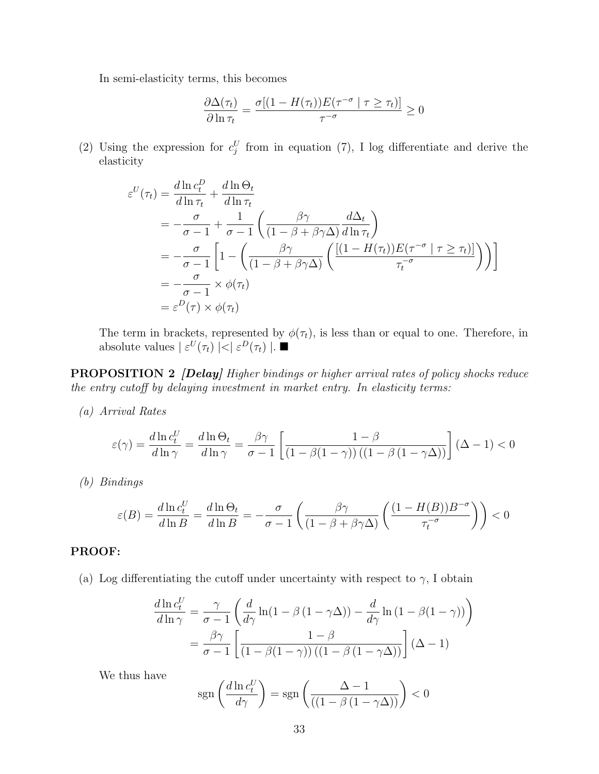In semi-elasticity terms, this becomes

$$
\frac{\partial \Delta(\tau_t)}{\partial \ln \tau_t} = \frac{\sigma[(1 - H(\tau_t))E(\tau^{-\sigma} \mid \tau \ge \tau_t)]}{\tau^{-\sigma}} \ge 0
$$

(2) Using the expression for  $c_j^U$  from in equation (7), I log differentiate and derive the elasticity

$$
\varepsilon^{U}(\tau_{t}) = \frac{d \ln c_{t}^{D}}{d \ln \tau_{t}} + \frac{d \ln \Theta_{t}}{d \ln \tau_{t}}
$$
\n
$$
= -\frac{\sigma}{\sigma - 1} + \frac{1}{\sigma - 1} \left( \frac{\beta \gamma}{(1 - \beta + \beta \gamma \Delta)} \frac{d \Delta_{t}}{d \ln \tau_{t}} \right)
$$
\n
$$
= -\frac{\sigma}{\sigma - 1} \left[ 1 - \left( \frac{\beta \gamma}{(1 - \beta + \beta \gamma \Delta)} \left( \frac{[(1 - H(\tau_{t}))E(\tau^{-\sigma} | \tau \ge \tau_{t})]}{\tau_{t}^{-\sigma}} \right) \right) \right]
$$
\n
$$
= -\frac{\sigma}{\sigma - 1} \times \phi(\tau_{t})
$$
\n
$$
= \varepsilon^{D}(\tau) \times \phi(\tau_{t})
$$

The term in brackets, represented by  $\phi(\tau_t)$ , is less than or equal to one. Therefore, in absolute values  $| \varepsilon^{U}(\tau_t) | < | \varepsilon^{D}(\tau_t) |$ .

**PROPOSITION 2** *[Delay] Higher bindings or higher arrival rates of policy shocks reduce* the entry cutoff by delaying investment in market entry. In elasticity terms:

(a) Arrival Rates

$$
\varepsilon(\gamma) = \frac{d \ln c_t^U}{d \ln \gamma} = \frac{d \ln \Theta_t}{d \ln \gamma} = \frac{\beta \gamma}{\sigma - 1} \left[ \frac{1 - \beta}{\left(1 - \beta(1 - \gamma)\right) \left(\left(1 - \beta(1 - \gamma\Delta)\right)\right)} \right] (\Delta - 1) < 0
$$

(b) Bindings

$$
\varepsilon(B) = \frac{d \ln c_t^U}{d \ln B} = \frac{d \ln \Theta_t}{d \ln B} = -\frac{\sigma}{\sigma - 1} \left( \frac{\beta \gamma}{(1 - \beta + \beta \gamma \Delta)} \left( \frac{(1 - H(B))B^{-\sigma}}{\tau_t^{-\sigma}} \right) \right) < 0
$$

#### PROOF:

(a) Log differentiating the cutoff under uncertainty with respect to  $\gamma$ , I obtain

$$
\frac{d\ln c_t^U}{d\ln \gamma} = \frac{\gamma}{\sigma - 1} \left( \frac{d}{d\gamma} \ln(1 - \beta (1 - \gamma \Delta)) - \frac{d}{d\gamma} \ln(1 - \beta (1 - \gamma)) \right)
$$

$$
= \frac{\beta \gamma}{\sigma - 1} \left[ \frac{1 - \beta}{(1 - \beta (1 - \gamma)) ((1 - \beta (1 - \gamma \Delta)))} \right] (\Delta - 1)
$$

We thus have

$$
\operatorname{sgn}\left(\frac{d\ln c_t^U}{d\gamma}\right) = \operatorname{sgn}\left(\frac{\Delta - 1}{((1 - \beta(1 - \gamma\Delta))}\right) < 0
$$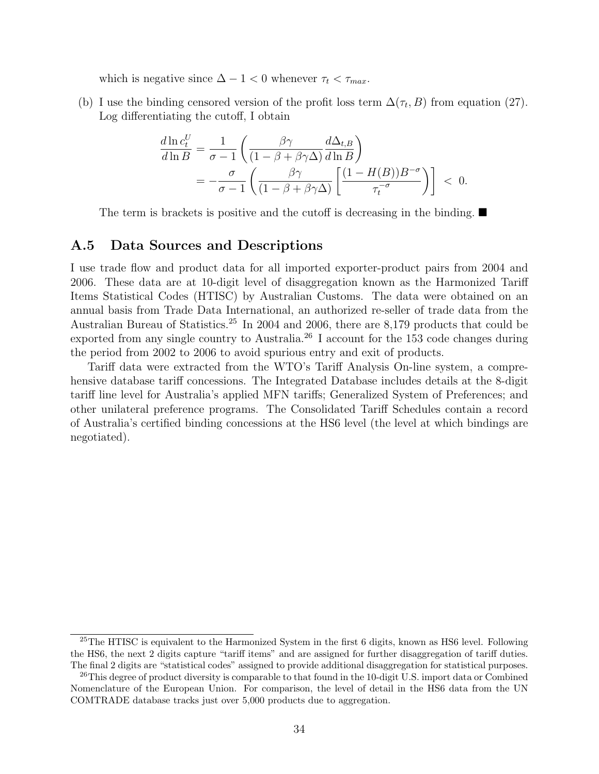which is negative since  $\Delta - 1 < 0$  whenever  $\tau_t < \tau_{max}$ .

(b) I use the binding censored version of the profit loss term  $\Delta(\tau_t, B)$  from equation (27). Log differentiating the cutoff, I obtain

$$
\frac{d \ln c_t^U}{d \ln B} = \frac{1}{\sigma - 1} \left( \frac{\beta \gamma}{(1 - \beta + \beta \gamma \Delta)} \frac{d \Delta_{t,B}}{d \ln B} \right)
$$
  
= 
$$
-\frac{\sigma}{\sigma - 1} \left( \frac{\beta \gamma}{(1 - \beta + \beta \gamma \Delta)} \left[ \frac{(1 - H(B))B^{-\sigma}}{\tau_t^{-\sigma}} \right] \right) < 0.
$$

The term is brackets is positive and the cutoff is decreasing in the binding.  $\blacksquare$ 

#### A.5 Data Sources and Descriptions

I use trade flow and product data for all imported exporter-product pairs from 2004 and 2006. These data are at 10-digit level of disaggregation known as the Harmonized Tariff Items Statistical Codes (HTISC) by Australian Customs. The data were obtained on an annual basis from Trade Data International, an authorized re-seller of trade data from the Australian Bureau of Statistics.<sup>25</sup> In 2004 and 2006, there are 8,179 products that could be exported from any single country to Australia.<sup>26</sup> I account for the 153 code changes during the period from 2002 to 2006 to avoid spurious entry and exit of products.

Tariff data were extracted from the WTO's Tariff Analysis On-line system, a comprehensive database tariff concessions. The Integrated Database includes details at the 8-digit tariff line level for Australia's applied MFN tariffs; Generalized System of Preferences; and other unilateral preference programs. The Consolidated Tariff Schedules contain a record of Australia's certified binding concessions at the HS6 level (the level at which bindings are negotiated).

<sup>&</sup>lt;sup>25</sup>The HTISC is equivalent to the Harmonized System in the first 6 digits, known as HS6 level. Following the HS6, the next 2 digits capture "tariff items" and are assigned for further disaggregation of tariff duties. The final 2 digits are "statistical codes" assigned to provide additional disaggregation for statistical purposes.

<sup>&</sup>lt;sup>26</sup>This degree of product diversity is comparable to that found in the 10-digit U.S. import data or Combined Nomenclature of the European Union. For comparison, the level of detail in the HS6 data from the UN COMTRADE database tracks just over 5,000 products due to aggregation.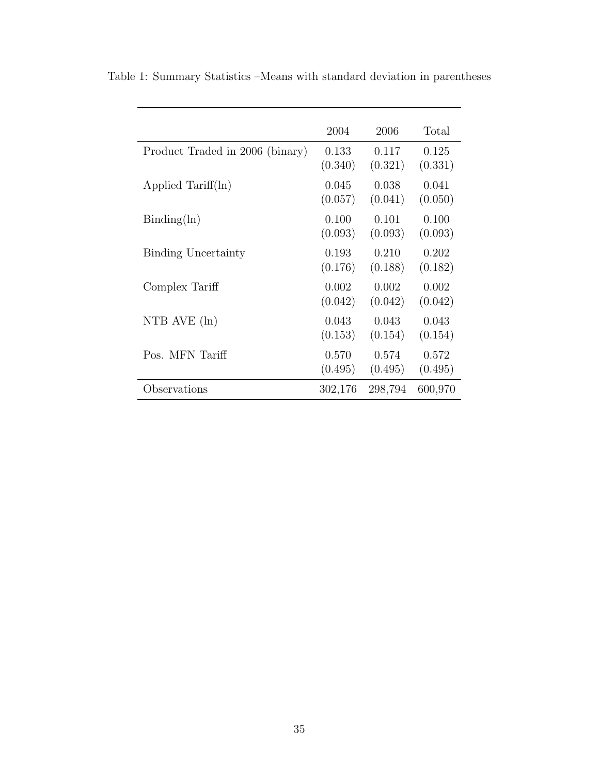|                                 | 2004    | 2006    | Total   |
|---------------------------------|---------|---------|---------|
| Product Traded in 2006 (binary) | 0.133   | 0.117   | 0.125   |
|                                 | (0.340) | (0.321) | (0.331) |
| Applied $Tariff(\ln)$           | 0.045   | 0.038   | 0.041   |
|                                 | (0.057) | (0.041) | (0.050) |
| $\operatorname{Binding}(\ln)$   | 0.100   | 0.101   | 0.100   |
|                                 | (0.093) | (0.093) | (0.093) |
| Binding Uncertainty             | 0.193   | 0.210   | 0.202   |
|                                 | (0.176) | (0.188) | (0.182) |
| Complex Tariff                  | 0.002   | 0.002   | 0.002   |
|                                 | (0.042) | (0.042) | (0.042) |
| NTB AVE $(\ln)$                 | 0.043   | 0.043   | 0.043   |
|                                 | (0.153) | (0.154) | (0.154) |
| Pos. MFN Tariff                 | 0.570   | 0.574   | 0.572   |
|                                 | (0.495) | (0.495) | (0.495) |
| Observations                    | 302,176 | 298,794 | 600,970 |

Table 1: Summary Statistics –Means with standard deviation in parentheses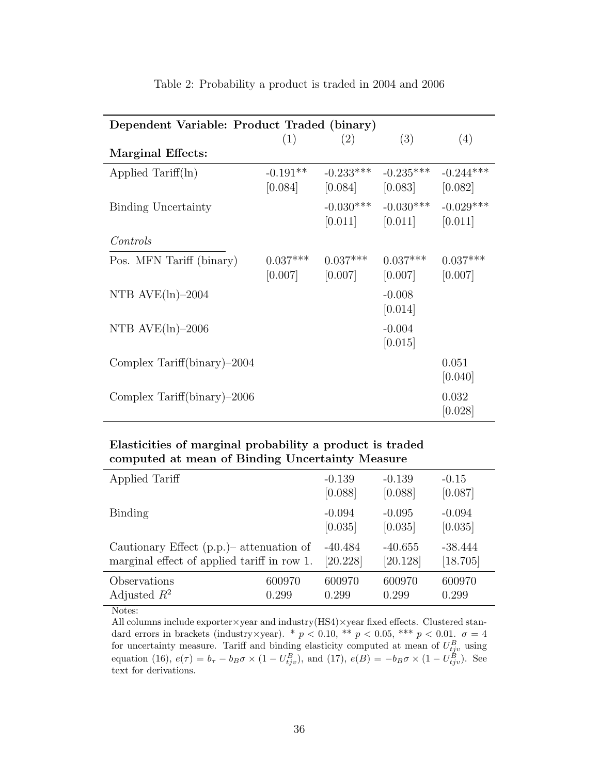| Dependent Variable: Product Traded (binary) |                       |                                         |                                                                      |                  |
|---------------------------------------------|-----------------------|-----------------------------------------|----------------------------------------------------------------------|------------------|
|                                             | (1)                   | (2)                                     | (3)                                                                  | (4)              |
| <b>Marginal Effects:</b>                    |                       |                                         |                                                                      |                  |
| Applied Tariff $(\ln)$                      | $-0.191**$            | $[0.084]$ $[0.084]$ $[0.083]$ $[0.082]$ | $-0.233***$ $-0.235***$                                              | $-0.244***$      |
| Binding Uncertainty                         |                       |                                         | $-0.030***$ $-0.030***$ $-0.029***$<br>$[0.011]$ $[0.011]$ $[0.011]$ |                  |
| Controls                                    |                       |                                         |                                                                      |                  |
| Pos. MFN Tariff (binary)                    | $0.037***$<br>[0.007] | $0.037***$                              | $0.037***$<br>$[0.007]$ $[0.007]$ $[0.007]$                          | $0.037***$       |
| NTB $AVE(ln)-2004$                          |                       |                                         | $-0.008$<br>[0.014]                                                  |                  |
| NTB $AVE(ln)-2006$                          |                       |                                         | $-0.004$<br>[0.015]                                                  |                  |
| Complex Tariff(binary) $-2004$              |                       |                                         |                                                                      | 0.051<br>[0.040] |
| Complex Tariff $(binary)$ –2006             |                       |                                         |                                                                      | 0.032<br>[0.028] |

Table 2: Probability a product is traded in 2004 and 2006

## Elasticities of marginal probability a product is traded computed at mean of Binding Uncertainty Measure

| Applied Tariff                              |        | $-0.139$<br>[0.088] | $-0.139$<br>[0.088] | $-0.15$<br>[0.087]  |
|---------------------------------------------|--------|---------------------|---------------------|---------------------|
| Binding                                     |        | $-0.094$<br>[0.035] | $-0.095$<br>[0.035] | $-0.094$<br>[0.035] |
| Cautionary Effect $(p.p.)$ attenuation of   |        | $-40.484$           | $-40.655$           | $-38.444$           |
| marginal effect of applied tariff in row 1. |        | [20.228]            | [20.128]            | [18.705]            |
| Observations                                | 600970 | 600970              | 600970              | 600970              |
| Adjusted $R^2$                              | 0.299  | 0.299               | 0.299               | 0.299               |

Notes:

All columns include exporter×year and industry(HS4)×year fixed effects. Clustered standard errors in brackets (industry  $\times$  year). \*  $p < 0.10$ , \*\*  $p < 0.05$ , \*\*\*  $p < 0.01$ .  $\sigma = 4$ for uncertainty measure. Tariff and binding elasticity computed at mean of  $U_{tjv}^B$  using equation (16),  $e(\tau) = b_{\tau} - b_B \sigma \times (1 - U_{typ}^B)$ , and (17),  $e(B) = -b_B \sigma \times (1 - U_{typ}^B)$ . See text for derivations.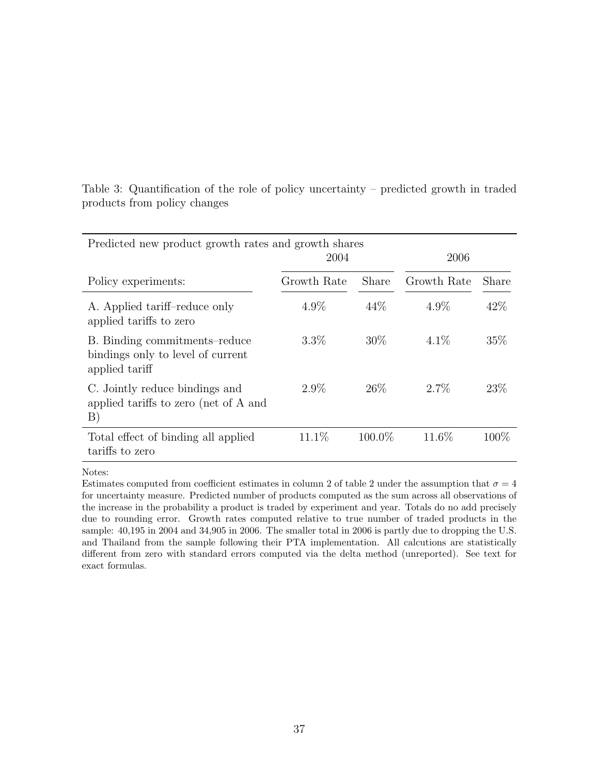| Predicted new product growth rates and growth shares                                 | 2004        |           | 2006        |         |
|--------------------------------------------------------------------------------------|-------------|-----------|-------------|---------|
| Policy experiments:                                                                  | Growth Rate | Share     | Growth Rate | Share   |
| A. Applied tariff-reduce only<br>applied tariffs to zero                             | $4.9\%$     | 44\%      | $4.9\%$     | 42%     |
| B. Binding commitments-reduce<br>bindings only to level of current<br>applied tariff | $3.3\%$     | $30\%$    | $4.1\%$     | 35%     |
| C. Jointly reduce bindings and<br>applied tariffs to zero (net of A and<br>B)        | $2.9\%$     | $26\%$    | $2.7\%$     | 23\%    |
| Total effect of binding all applied<br>tariffs to zero                               | 11.1%       | $100.0\%$ | 11.6\%      | $100\%$ |

Table 3: Quantification of the role of policy uncertainty – predicted growth in traded products from policy changes

Notes:

Estimates computed from coefficient estimates in column 2 of table 2 under the assumption that  $\sigma = 4$ for uncertainty measure. Predicted number of products computed as the sum across all observations of the increase in the probability a product is traded by experiment and year. Totals do no add precisely due to rounding error. Growth rates computed relative to true number of traded products in the sample: 40,195 in 2004 and 34,905 in 2006. The smaller total in 2006 is partly due to dropping the U.S. and Thailand from the sample following their PTA implementation. All calcutions are statistically different from zero with standard errors computed via the delta method (unreported). See text for exact formulas.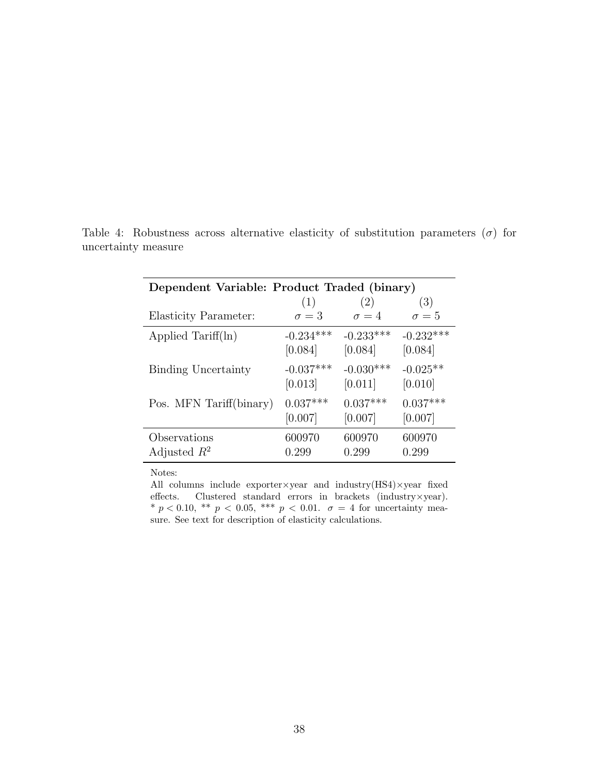| Dependent Variable: Product Traded (binary) |              |              |              |
|---------------------------------------------|--------------|--------------|--------------|
|                                             | (1)          | (2)          | (3)          |
| <b>Elasticity Parameter:</b>                | $\sigma = 3$ | $\sigma = 4$ | $\sigma = 5$ |
| Applied $Tariff(ln)$                        | $-0.234***$  | $-0.233***$  | $-0.232***$  |
|                                             | [0.084]      | [0.084]      | [0.084]      |
| Binding Uncertainty                         | $-0.037***$  | $-0.030***$  | $-0.025**$   |
|                                             | [0.013]      | [0.011]      | [0.010]      |
| Pos. MFN Tariff(binary)                     | $0.037***$   | $0.037***$   | $0.037***$   |
|                                             | [0.007]      | [0.007]      | [0.007]      |
| Observations                                | 600970       | 600970       | 600970       |
| Adjusted $R^2$                              | 0.299        | 0.299        | 0.299        |

Table 4: Robustness across alternative elasticity of substitution parameters  $(\sigma)$  for uncertainty measure

Notes:

All columns include exporter×year and industry(HS4)×year fixed effects. Clustered standard errors in brackets (industry×year). \*  $p < 0.10$ , \*\*  $p < 0.05$ , \*\*\*  $p < 0.01$ .  $\sigma = 4$  for uncertainty measure. See text for description of elasticity calculations.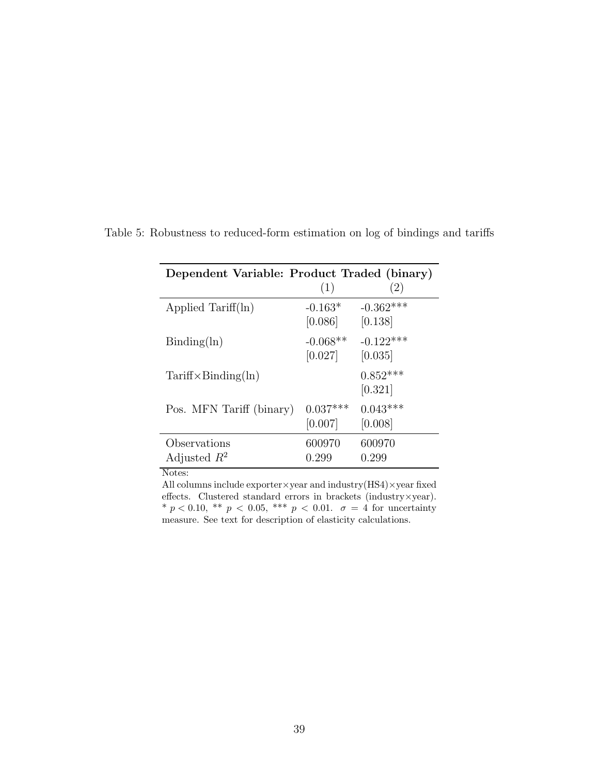| Dependent Variable: Product Traded (binary) |                       |                        |  |  |
|---------------------------------------------|-----------------------|------------------------|--|--|
|                                             | (1)                   | $\left( 2\right)$      |  |  |
| Applied $Tariff(\ln)$                       | $-0.163*$<br>[0.086]  | $-0.362***$<br>[0.138] |  |  |
| $\operatorname{Binding}(\ln)$               | $-0.068**$<br>[0.027] | $-0.122***$<br>[0.035] |  |  |
| $Tariff \times Binding(ln)$                 |                       | $0.852***$<br>[0.321]  |  |  |
| Pos. MFN Tariff (binary)                    | $0.037***$<br>[0.007] | $0.043***$<br>[0.008]  |  |  |
| Observations<br>Adjusted $R^2$              | 600970<br>0.299       | 600970<br>0.299        |  |  |

Table 5: Robustness to reduced-form estimation on log of bindings and tariffs

Notes:

All columns include exporter×year and industry(HS4)×year fixed effects. Clustered standard errors in brackets (industry×year). \*  $p < 0.10$ , \*\*  $p < 0.05$ , \*\*\*  $p < 0.01$ .  $\sigma = 4$  for uncertainty measure. See text for description of elasticity calculations.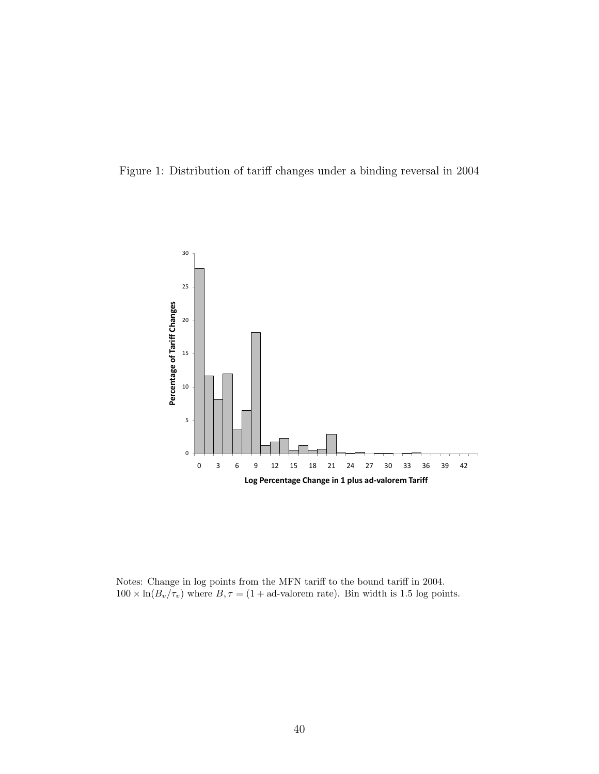Figure 1: Distribution of tariff changes under a binding reversal in 2004



Notes: Change in log points from the MFN tariff to the bound tariff in 2004.  $100 \times \ln(B_v/\tau_v)$  where  $B, \tau = (1 + \text{ad-valorem rate})$ . Bin width is 1.5 log points.